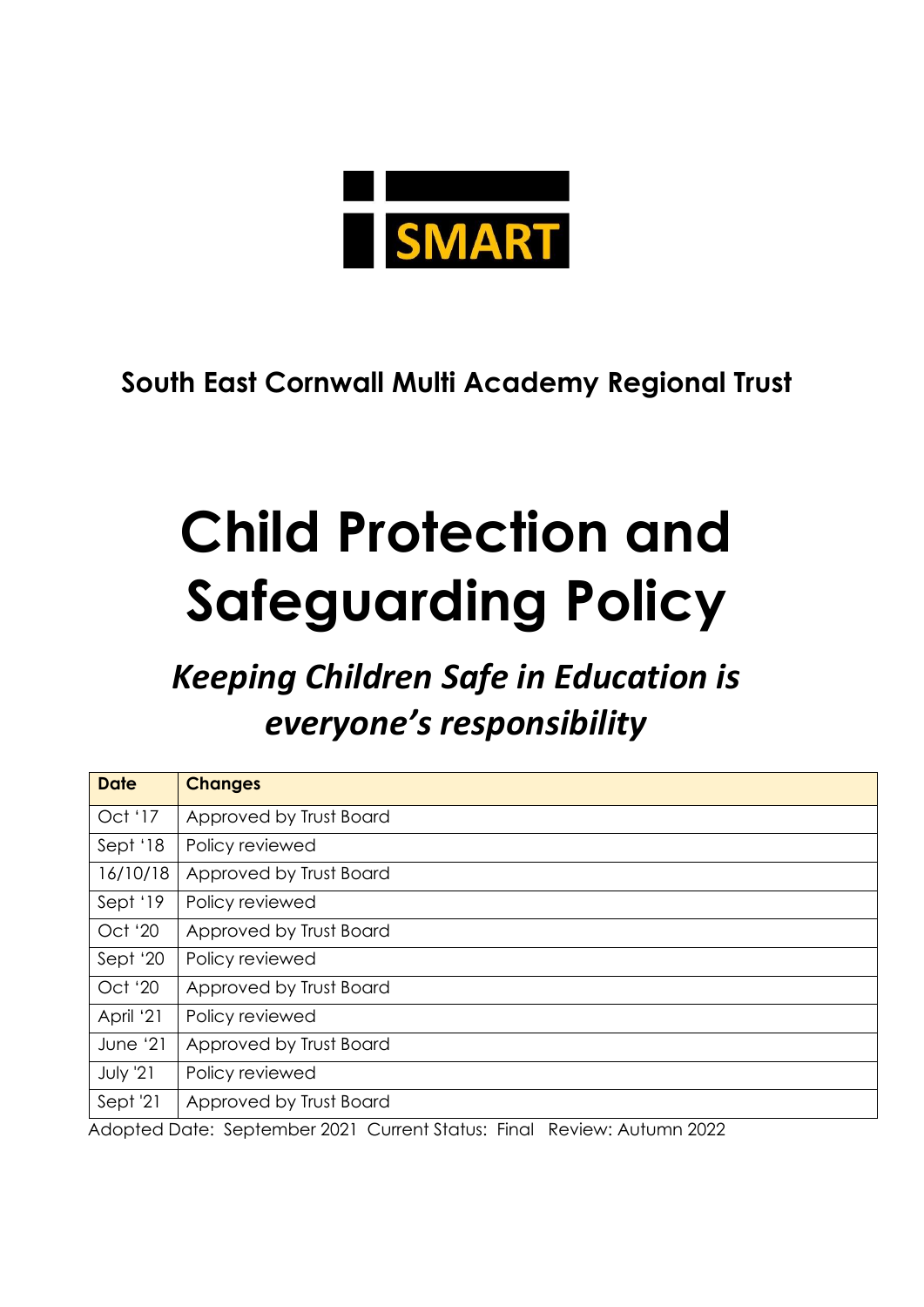

**South East Cornwall Multi Academy Regional Trust**

# **Child Protection and Safeguarding Policy**

*Keeping Children Safe in Education is everyone's responsibility*

| <b>Date</b>     | <b>Changes</b>          |
|-----------------|-------------------------|
| Oct '17         | Approved by Trust Board |
| Sept '18        | Policy reviewed         |
| 16/10/18        | Approved by Trust Board |
| Sept '19        | Policy reviewed         |
| Oct '20         | Approved by Trust Board |
| Sept '20        | Policy reviewed         |
| Oct '20         | Approved by Trust Board |
| April '21       | Policy reviewed         |
| June '21        | Approved by Trust Board |
| <b>July '21</b> | Policy reviewed         |
| Sept '21        | Approved by Trust Board |

Adopted Date: September 2021 Current Status: Final Review: Autumn 2022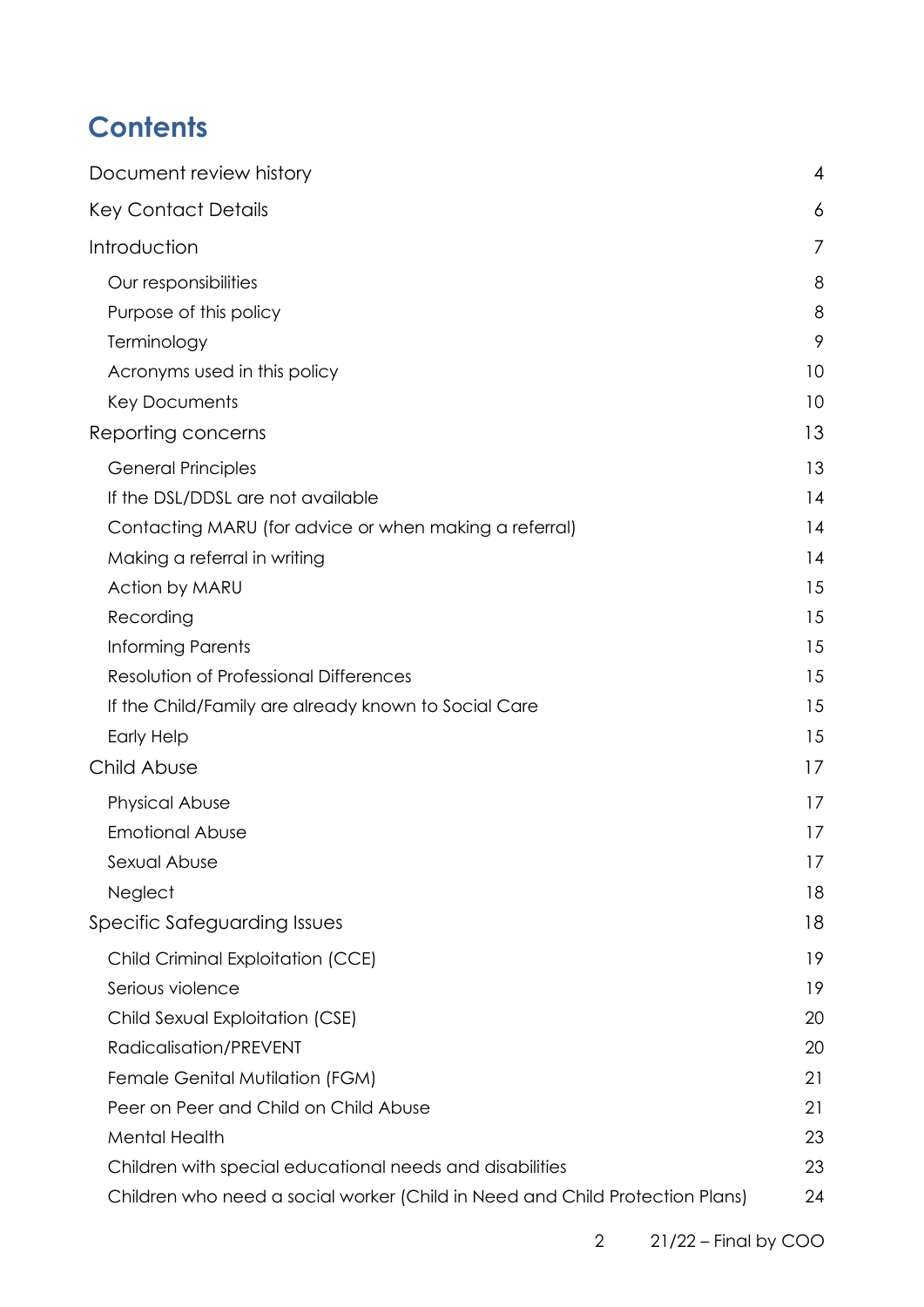# **Contents**

| Document review history                                                      | 4  |
|------------------------------------------------------------------------------|----|
| <b>Key Contact Details</b>                                                   | 6  |
| Introduction                                                                 | 7  |
| Our responsibilities                                                         | 8  |
| Purpose of this policy                                                       | 8  |
| Terminology                                                                  | 9  |
| Acronyms used in this policy                                                 | 10 |
| <b>Key Documents</b>                                                         | 10 |
| Reporting concerns                                                           | 13 |
| <b>General Principles</b>                                                    | 13 |
| If the DSL/DDSL are not available                                            | 14 |
| Contacting MARU (for advice or when making a referral)                       | 14 |
| Making a referral in writing                                                 | 14 |
| Action by MARU                                                               | 15 |
| Recording                                                                    | 15 |
| <b>Informing Parents</b>                                                     | 15 |
| Resolution of Professional Differences                                       | 15 |
| If the Child/Family are already known to Social Care                         | 15 |
| <b>Early Help</b>                                                            | 15 |
| Child Abuse                                                                  | 17 |
| <b>Physical Abuse</b>                                                        | 17 |
| <b>Emotional Abuse</b>                                                       | 17 |
| Sexual Abuse                                                                 | 17 |
| Neglect                                                                      | 18 |
| Specific Safeguarding Issues                                                 | 18 |
| Child Criminal Exploitation (CCE)                                            | 19 |
| Serious violence                                                             | 19 |
| Child Sexual Exploitation (CSE)                                              | 20 |
| Radicalisation/PREVENT                                                       | 20 |
| Female Genital Mutilation (FGM)                                              | 21 |
| Peer on Peer and Child on Child Abuse                                        | 21 |
| <b>Mental Health</b>                                                         | 23 |
| Children with special educational needs and disabilities                     | 23 |
| Children who need a social worker (Child in Need and Child Protection Plans) | 24 |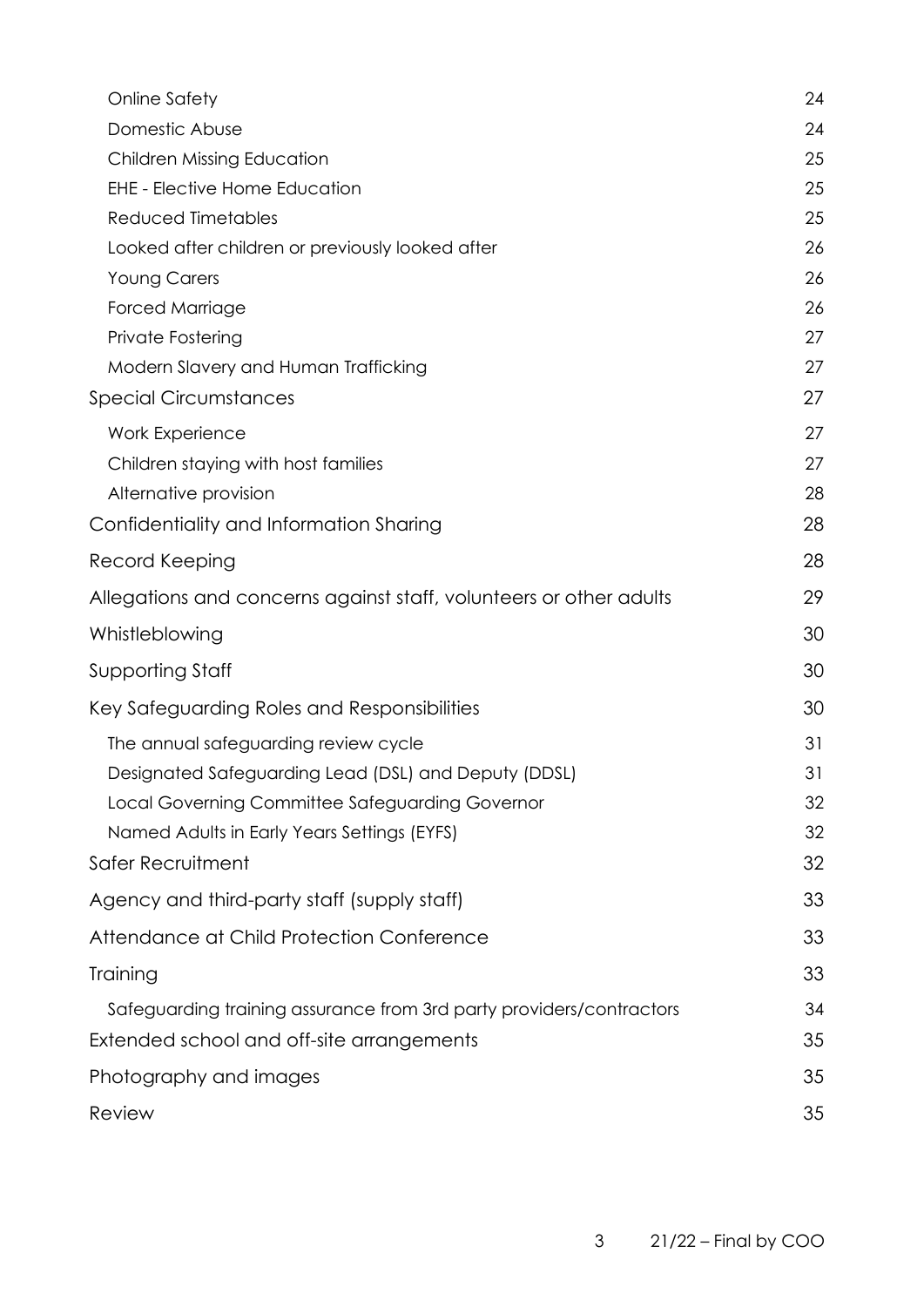| Online Safety                                                        | 24 |
|----------------------------------------------------------------------|----|
| Domestic Abuse                                                       | 24 |
| <b>Children Missing Education</b>                                    | 25 |
| <b>EHE - Elective Home Education</b>                                 | 25 |
| <b>Reduced Timetables</b>                                            | 25 |
| Looked after children or previously looked after                     | 26 |
| <b>Young Carers</b>                                                  | 26 |
| Forced Marriage                                                      | 26 |
| Private Fostering                                                    | 27 |
| Modern Slavery and Human Trafficking                                 | 27 |
| <b>Special Circumstances</b>                                         | 27 |
| <b>Work Experience</b>                                               | 27 |
| Children staying with host families                                  | 27 |
| Alternative provision                                                | 28 |
| Confidentiality and Information Sharing                              | 28 |
| Record Keeping                                                       | 28 |
| Allegations and concerns against staff, volunteers or other adults   | 29 |
| Whistleblowing                                                       | 30 |
| <b>Supporting Staff</b>                                              | 30 |
| Key Safeguarding Roles and Responsibilities                          | 30 |
| The annual safeguarding review cycle                                 | 31 |
| Designated Safeguarding Lead (DSL) and Deputy (DDSL)                 | 31 |
| Local Governing Committee Safeguarding Governor                      | 32 |
| Named Adults in Early Years Settings (EYFS)                          | 32 |
| Safer Recruitment                                                    | 32 |
| Agency and third-party staff (supply staff)                          | 33 |
| Attendance at Child Protection Conference                            | 33 |
| Training                                                             | 33 |
| Safeguarding training assurance from 3rd party providers/contractors | 34 |
| Extended school and off-site arrangements                            | 35 |
| Photography and images                                               | 35 |
| Review                                                               | 35 |
|                                                                      |    |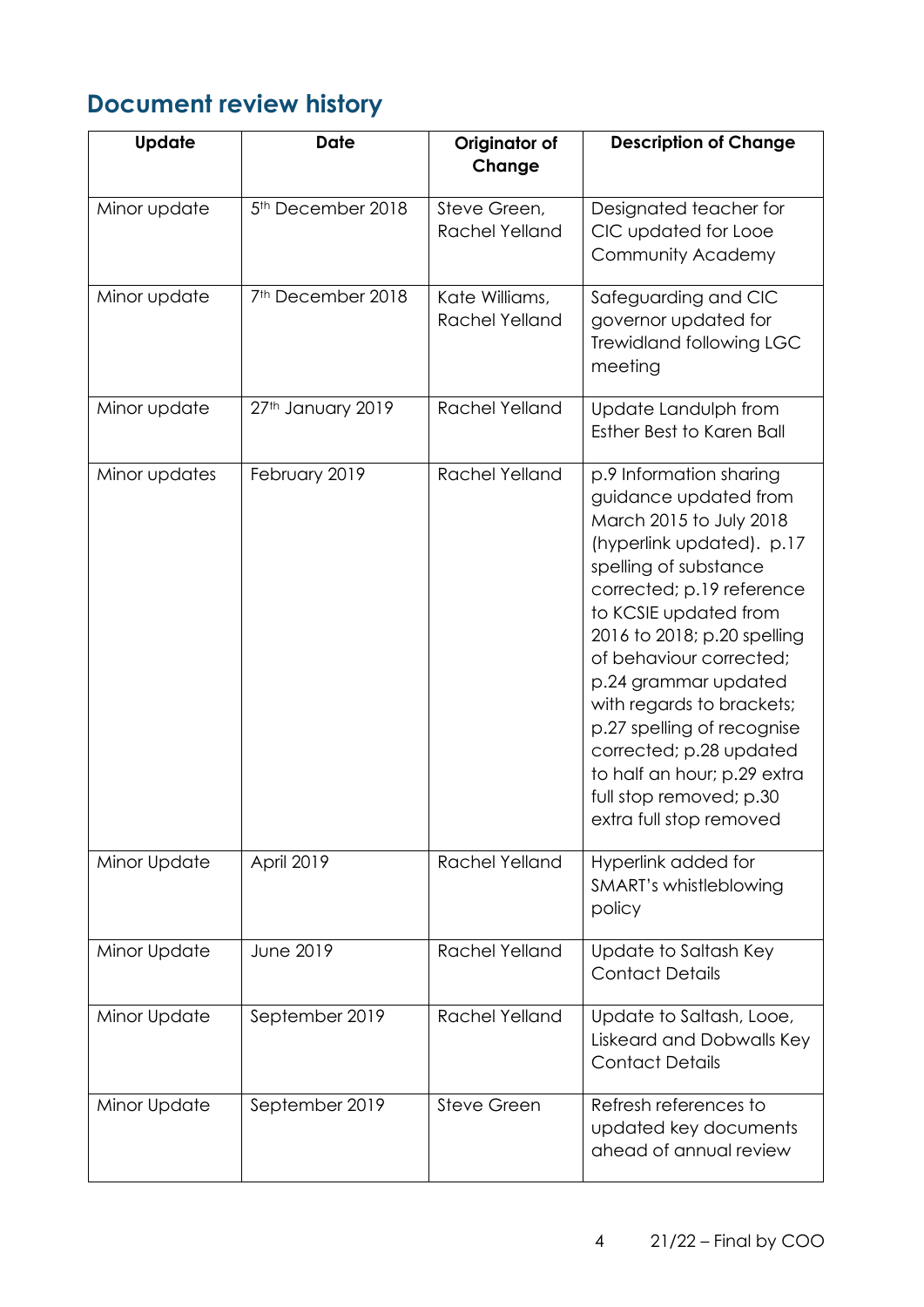# <span id="page-3-0"></span>**Document review history**

| Update        | <b>Date</b>                   | Originator of<br>Change                 | <b>Description of Change</b>                                                                                                                                                                                                                                                                                                                                                                                                                         |
|---------------|-------------------------------|-----------------------------------------|------------------------------------------------------------------------------------------------------------------------------------------------------------------------------------------------------------------------------------------------------------------------------------------------------------------------------------------------------------------------------------------------------------------------------------------------------|
| Minor update  | 5 <sup>th</sup> December 2018 | Steve Green,<br><b>Rachel Yelland</b>   | Designated teacher for<br>CIC updated for Looe<br>Community Academy                                                                                                                                                                                                                                                                                                                                                                                  |
| Minor update  | 7 <sup>th</sup> December 2018 | Kate Williams,<br><b>Rachel Yelland</b> | Safeguarding and CIC<br>governor updated for<br><b>Trewidland following LGC</b><br>meeting                                                                                                                                                                                                                                                                                                                                                           |
| Minor update  | 27th January 2019             | <b>Rachel Yelland</b>                   | Update Landulph from<br>Esther Best to Karen Ball                                                                                                                                                                                                                                                                                                                                                                                                    |
| Minor updates | February 2019                 | <b>Rachel Yelland</b>                   | p.9 Information sharing<br>guidance updated from<br>March 2015 to July 2018<br>(hyperlink updated). p.17<br>spelling of substance<br>corrected; p.19 reference<br>to KCSIE updated from<br>2016 to 2018; p.20 spelling<br>of behaviour corrected;<br>p.24 grammar updated<br>with regards to brackets;<br>p.27 spelling of recognise<br>corrected; p.28 updated<br>to half an hour; p.29 extra<br>full stop removed; p.30<br>extra full stop removed |
| Minor Update  | April 2019                    | <b>Rachel Yelland</b>                   | Hyperlink added for<br>SMART's whistleblowing<br>policy                                                                                                                                                                                                                                                                                                                                                                                              |
| Minor Update  | <b>June 2019</b>              | <b>Rachel Yelland</b>                   | Update to Saltash Key<br><b>Contact Details</b>                                                                                                                                                                                                                                                                                                                                                                                                      |
| Minor Update  | September 2019                | <b>Rachel Yelland</b>                   | Update to Saltash, Looe,<br>Liskeard and Dobwalls Key<br><b>Contact Details</b>                                                                                                                                                                                                                                                                                                                                                                      |
| Minor Update  | September 2019                | <b>Steve Green</b>                      | Refresh references to<br>updated key documents<br>ahead of annual review                                                                                                                                                                                                                                                                                                                                                                             |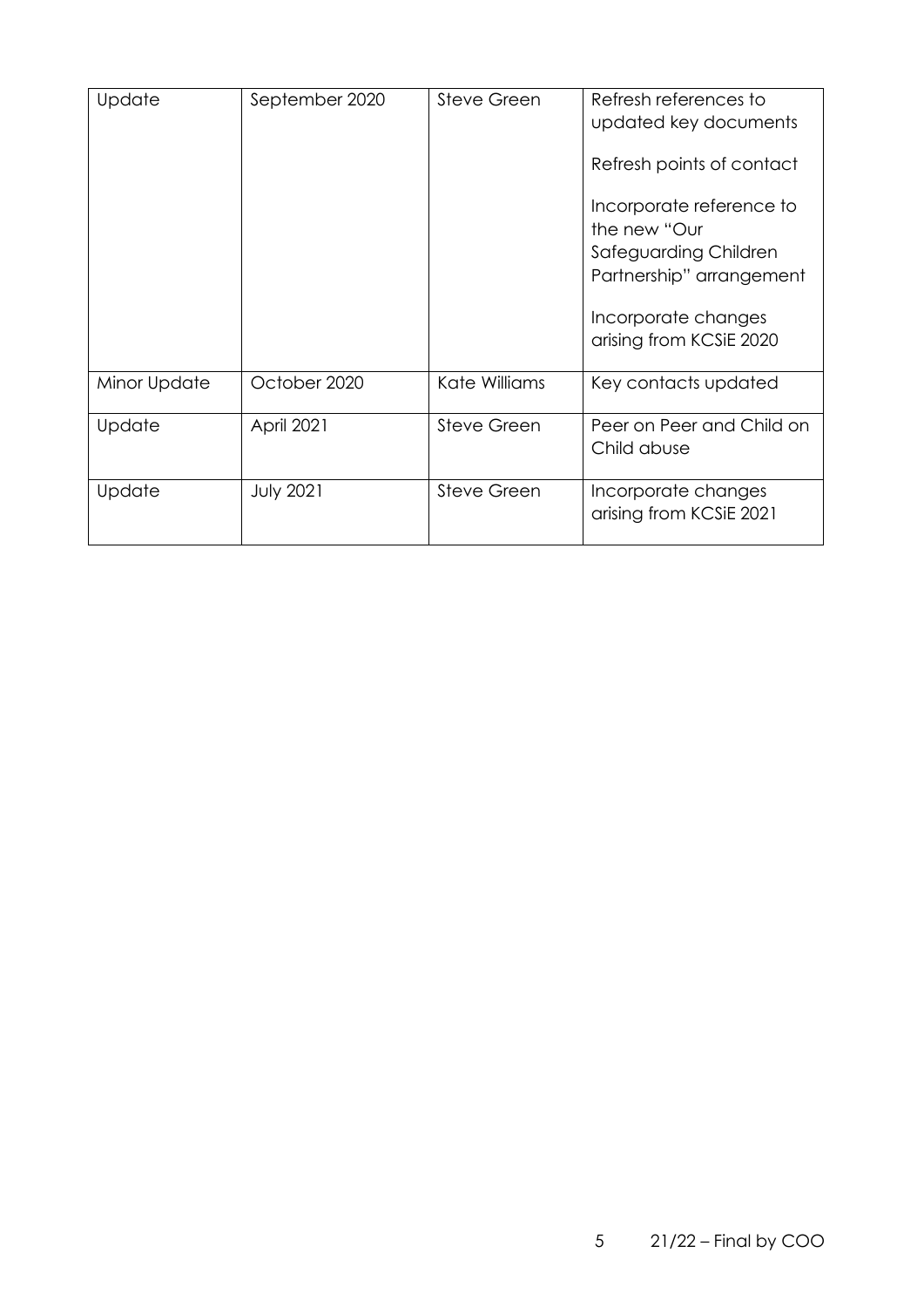| Update       | September 2020    | <b>Steve Green</b> | Refresh references to<br>updated key documents<br>Refresh points of contact<br>Incorporate reference to<br>the new "Our<br>Safeguarding Children<br>Partnership" arrangement<br>Incorporate changes<br>arising from KCSiE 2020 |
|--------------|-------------------|--------------------|--------------------------------------------------------------------------------------------------------------------------------------------------------------------------------------------------------------------------------|
| Minor Update | October 2020      | Kate Williams      | Key contacts updated                                                                                                                                                                                                           |
| Update       | <b>April 2021</b> | <b>Steve Green</b> | Peer on Peer and Child on<br>Child abuse                                                                                                                                                                                       |
| Update       | <b>July 2021</b>  | <b>Steve Green</b> | Incorporate changes<br>arising from KCSiE 2021                                                                                                                                                                                 |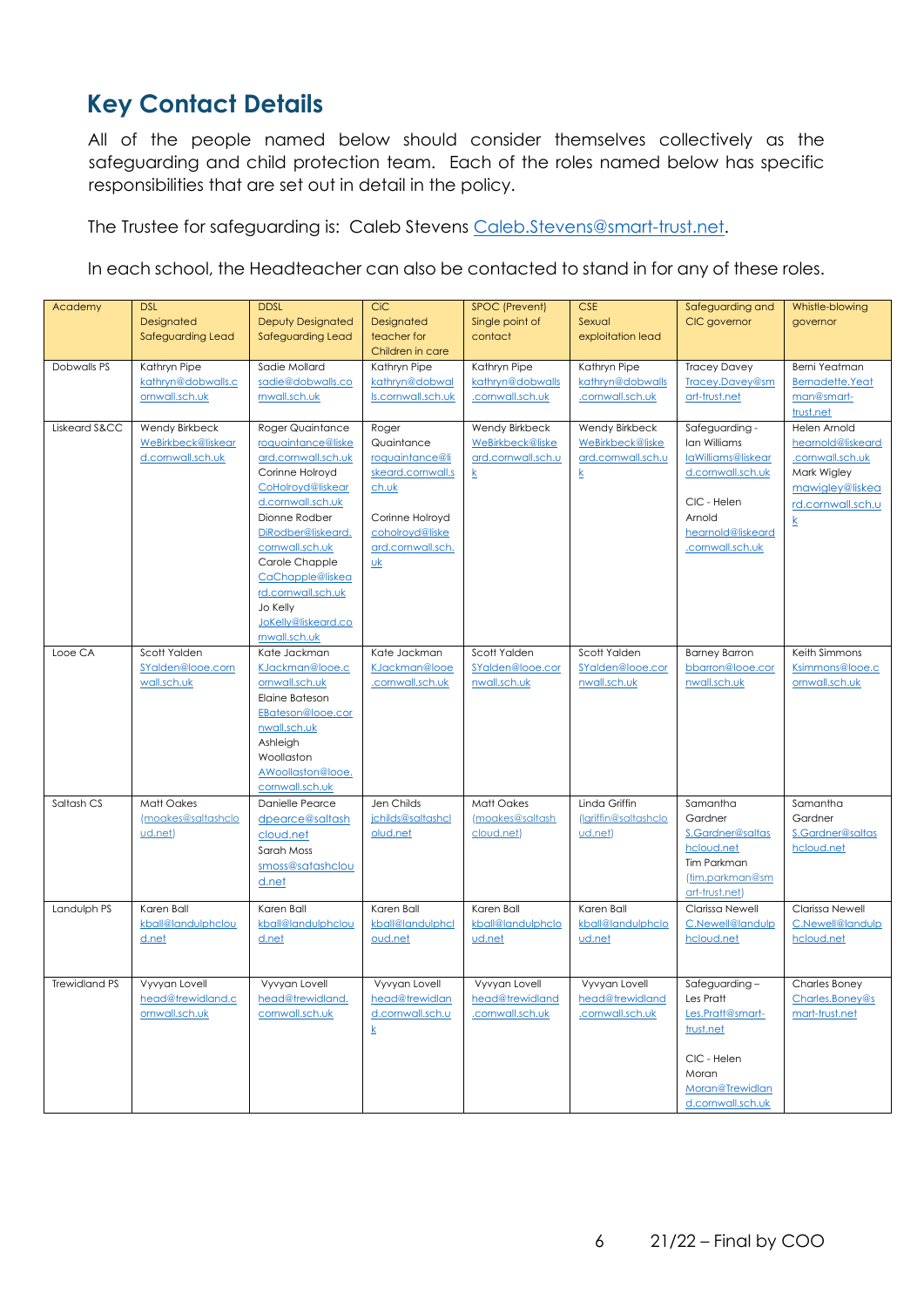## <span id="page-5-0"></span>**Key Contact Details**

All of the people named below should consider themselves collectively as the safeguarding and child protection team. Each of the roles named below has specific responsibilities that are set out in detail in the policy.

The Trustee for safeguarding is: Caleb Stevens [Caleb.Stevens@smart-trust.net.](mailto:Caleb.Stevens@smart-trust.net)

In each school, the Headteacher can also be contacted to stand in for any of these roles.

| Academy              | <b>DSL</b>                           | <b>DDSL</b>                            | <b>CiC</b>                 | SPOC (Prevent)                            | <b>CSE</b>                                | Safeguarding and               | Whistle-blowing                   |
|----------------------|--------------------------------------|----------------------------------------|----------------------------|-------------------------------------------|-------------------------------------------|--------------------------------|-----------------------------------|
|                      | Designated                           | <b>Deputy Designated</b>               | Designated                 | Single point of                           | Sexual                                    | CIC governor                   | governor                          |
|                      | Safeguarding Lead                    | Safeguarding Lead                      | teacher for                | contact                                   | exploitation lead                         |                                |                                   |
|                      |                                      |                                        | Children in care           |                                           |                                           |                                |                                   |
| Dobwalls PS          | Kathryn Pipe                         | Sadie Mollard                          | Kathryn Pipe               | Kathryn Pipe                              | Kathryn Pipe                              | <b>Tracey Davey</b>            | Berni Yeatman                     |
|                      | kathryn@dobwalls.c                   | sadie@dobwalls.co                      | kathryn@dobwal             | kathryn@dobwalls                          | kathryn@dobwalls                          | Tracey.Davey@sm                | <b>Bernadette.Yeat</b>            |
|                      | ornwall.sch.uk                       | rnwall.sch.uk                          | Is.cornwall.sch.uk         | .cornwall.sch.uk                          | .cornwall.sch.uk                          | art-trust.net                  | man@smart-                        |
|                      |                                      |                                        |                            |                                           |                                           |                                | trust.net                         |
| Liskeard S&CC        | Wendy Birkbeck<br>WeBirkbeck@liskear | Roger Quaintance                       | Roger<br>Quaintance        | Wendy Birkbeck<br><b>WeBirkbeck@liske</b> | Wendy Birkbeck<br><b>WeBirkbeck@liske</b> | Safeguarding -<br>Ian Williams | Helen Arnold<br>hearnold@liskeard |
|                      |                                      | roquaintance@liske                     | roauaintance@li            |                                           |                                           |                                |                                   |
|                      | d.cornwall.sch.uk                    | ard.cornwall.sch.uk<br>Corinne Holroyd |                            | ard.cornwall.sch.u                        | ard.cornwall.sch.u                        | laWilliams@liskear             | .cornwall.sch.uk                  |
|                      |                                      | CoHolroyd@liskear                      | skeard.cornwall.s<br>ch.uk | k                                         | k                                         | d.cornwall.sch.uk              | Mark Wigley                       |
|                      |                                      | d.cornwall.sch.uk                      |                            |                                           |                                           | CIC - Helen                    | mawigley@liskea                   |
|                      |                                      | Dionne Rodber                          | Corinne Holroyd            |                                           |                                           | Arnold                         | rd.cornwall.sch.u                 |
|                      |                                      | DiRodber@liskeard.                     | coholroyd@liske            |                                           |                                           | hearnold@liskeard              | k                                 |
|                      |                                      | cornwall.sch.uk                        | ard.cornwall.sch.          |                                           |                                           | .cornwall.sch.uk               |                                   |
|                      |                                      | Carole Chapple                         | uk                         |                                           |                                           |                                |                                   |
|                      |                                      | CaChapple@liskea                       |                            |                                           |                                           |                                |                                   |
|                      |                                      | rd.cornwall.sch.uk                     |                            |                                           |                                           |                                |                                   |
|                      |                                      | Jo Kelly                               |                            |                                           |                                           |                                |                                   |
|                      |                                      | JoKelly@liskeard.co                    |                            |                                           |                                           |                                |                                   |
|                      |                                      | rnwall.sch.uk                          |                            |                                           |                                           |                                |                                   |
| Looe CA              | Scott Yalden                         | Kate Jackman                           | Kate Jackman               | Scott Yalden                              | Scott Yalden                              | <b>Barney Barron</b>           | Keith Simmons                     |
|                      | SYalden@looe.corn                    | KJackman@looe.c                        | KJackman@looe              | SYalden@looe.cor                          | SYalden@looe.cor                          | bbarron@looe.cor               | Ksimmons@looe.c                   |
|                      | wall.sch.uk                          | ornwall.sch.uk                         | .cornwall.sch.uk           | nwall.sch.uk                              | nwall.sch.uk                              | nwall.sch.uk                   | ornwall.sch.uk                    |
|                      |                                      | <b>Elaine Bateson</b>                  |                            |                                           |                                           |                                |                                   |
|                      |                                      | EBateson@looe.cor                      |                            |                                           |                                           |                                |                                   |
|                      |                                      | nwall.sch.uk                           |                            |                                           |                                           |                                |                                   |
|                      |                                      | Ashleigh                               |                            |                                           |                                           |                                |                                   |
|                      |                                      | Woollaston                             |                            |                                           |                                           |                                |                                   |
|                      |                                      | AWoollaston@looe.                      |                            |                                           |                                           |                                |                                   |
|                      |                                      | cornwall.sch.uk                        |                            |                                           |                                           |                                |                                   |
| Saltash CS           | <b>Matt Oakes</b>                    | Danielle Pearce                        | Jen Childs                 | Matt Oakes                                | Linda Griffin                             | Samantha                       | Samantha                          |
|                      | (moakes@saltashclo                   | dpearce@saltash                        | jchilds@saltashcl          | (moakes@saltash                           | (Igriffin@saltashclo                      | Gardner                        | Gardner                           |
|                      | $udx$                                | cloud.net                              | olud.net                   | cloud.net)                                | ud.net)                                   | S.Gardner@saltas               | S.Gardner@saltas                  |
|                      |                                      | Sarah Moss                             |                            |                                           |                                           | hcloud.net                     | hcloud.net                        |
|                      |                                      | smoss@satashclou                       |                            |                                           |                                           | Tim Parkman                    |                                   |
|                      |                                      | d.net                                  |                            |                                           |                                           | (tim.parkman@sm                |                                   |
|                      |                                      |                                        |                            |                                           |                                           | art-trust.net)                 |                                   |
| Landulph PS          | Karen Ball                           | Karen Ball                             | Karen Ball                 | Karen Ball                                | Karen Ball                                | Clarissa Newell                | Clarissa Newell                   |
|                      | kball@landulphclou                   | kball@landulphclou                     | kball@landulphcl           | kball@landulphclo                         | kball@landulphclo                         | C.Newell@landulp               | C.Newell@landulp                  |
|                      | d.net                                | d.net                                  | oud.net                    | ud.net                                    | ud.net                                    | hcloud.net                     | hcloud.net                        |
|                      |                                      |                                        |                            |                                           |                                           |                                |                                   |
| <b>Trewidland PS</b> | Vyvyan Lovell                        | Vyvyan Lovell                          | Vyvyan Lovell              | Vyvyan Lovell                             | Vyvyan Lovell                             | Safeguarding-                  | Charles Boney                     |
|                      | <u>head@trewidland.c</u>             | head@trewidland.                       | head@trewidlan             | head@trewidland                           | head@trewidland                           | Les Pratt                      | Charles.Boney@s                   |
|                      | ornwall.sch.uk                       | cornwall.sch.uk                        | d.cornwall.sch.u           | .cornwall.sch.uk                          | .cornwall.sch.uk                          | Les.Pratt@smart-               | mart-trust.net                    |
|                      |                                      |                                        | k                          |                                           |                                           | trust.net                      |                                   |
|                      |                                      |                                        |                            |                                           |                                           |                                |                                   |
|                      |                                      |                                        |                            |                                           |                                           | CIC - Helen                    |                                   |
|                      |                                      |                                        |                            |                                           |                                           | Moran                          |                                   |
|                      |                                      |                                        |                            |                                           |                                           | Moran@Trewidlan                |                                   |
|                      |                                      |                                        |                            |                                           |                                           | d.cornwall.sch.uk              |                                   |
|                      |                                      |                                        |                            |                                           |                                           |                                |                                   |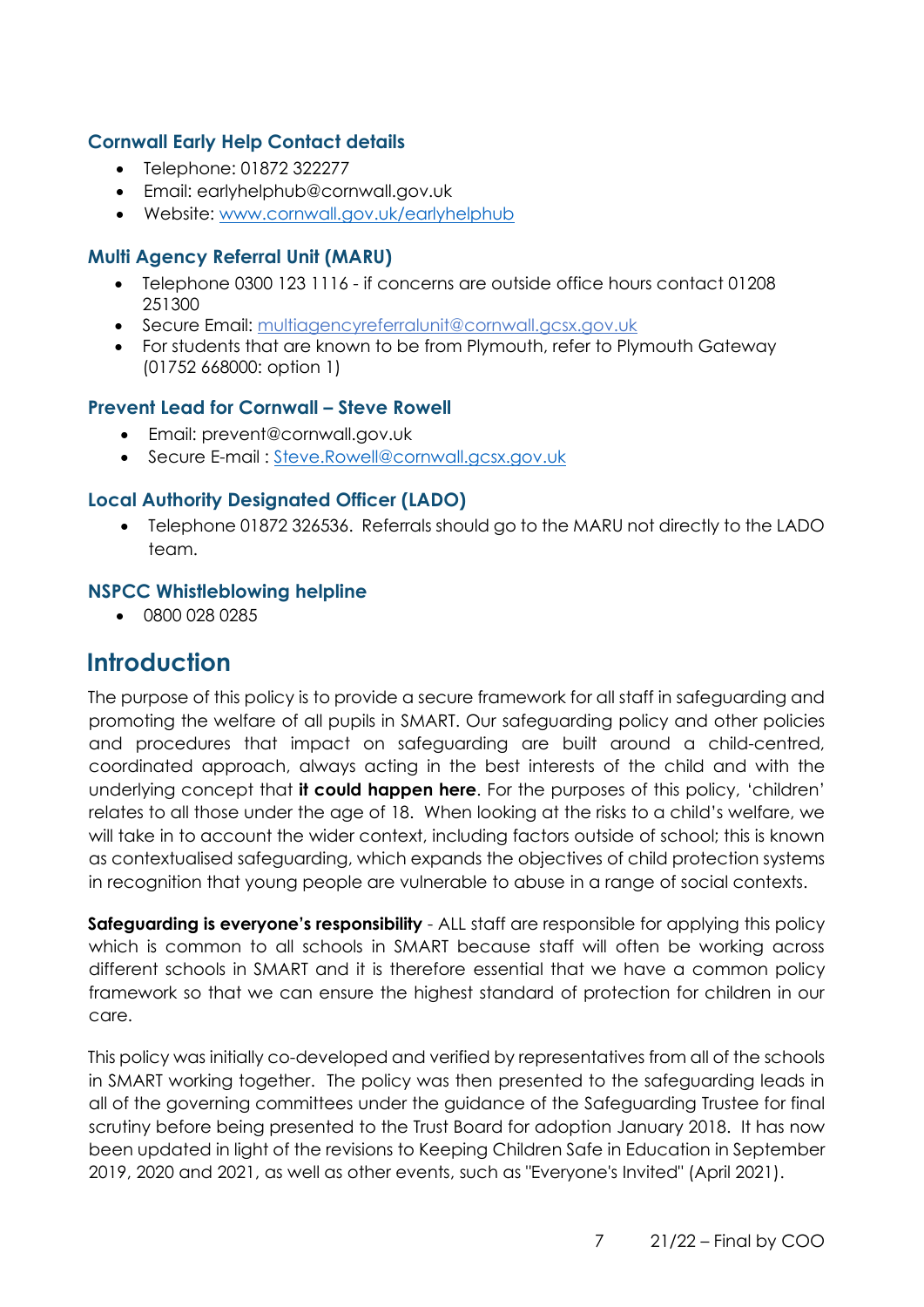#### **Cornwall Early Help Contact details**

- Telephone: 01872 322277
- Email: earlyhelphub@cornwall.gov.uk
- Website: [www.cornwall.gov.uk/earlyhelphub](http://www.cornwall.gov.uk/earlyhelphub)

#### **Multi Agency Referral Unit (MARU)**

- Telephone 0300 123 1116 if concerns are outside office hours contact 01208 251300
- Secure Email: [multiagencyreferralunit@cornwall.gcsx.gov.uk](mailto:multiagencyreferralunit@cornwall.gcsx.gov.uk)
- For students that are known to be from Plymouth, refer to Plymouth Gateway (01752 668000: option 1)

#### **Prevent Lead for Cornwall – Steve Rowell**

- Email: prevent@cornwall.gov.uk
- Secure E-mail : [Steve.Rowell@cornwall.gcsx.gov.uk](mailto:Steve.Rowell@cornwall.gcsx.gov.uk)

#### **Local Authority Designated Officer (LADO)**

• Telephone 01872 326536. Referrals should go to the MARU not directly to the LADO team.

#### **NSPCC Whistleblowing helpline**

• 0800 028 0285

## <span id="page-6-0"></span>**Introduction**

The purpose of this policy is to provide a secure framework for all staff in safeguarding and promoting the welfare of all pupils in SMART. Our safeguarding policy and other policies and procedures that impact on safeguarding are built around a child-centred, coordinated approach, always acting in the best interests of the child and with the underlying concept that **it could happen here**. For the purposes of this policy, 'children' relates to all those under the age of 18. When looking at the risks to a child's welfare, we will take in to account the wider context, including factors outside of school; this is known as contextualised safeguarding, which expands the objectives of child protection systems in recognition that young people are vulnerable to abuse in a range of social contexts.

**Safeguarding is everyone's responsibility** - ALL staff are responsible for applying this policy which is common to all schools in SMART because staff will often be working across different schools in SMART and it is therefore essential that we have a common policy framework so that we can ensure the highest standard of protection for children in our care.

This policy was initially co-developed and verified by representatives from all of the schools in SMART working together. The policy was then presented to the safeguarding leads in all of the governing committees under the guidance of the Safeguarding Trustee for final scrutiny before being presented to the Trust Board for adoption January 2018. It has now been updated in light of the revisions to Keeping Children Safe in Education in September 2019, 2020 and 2021, as well as other events, such as "Everyone's Invited" (April 2021).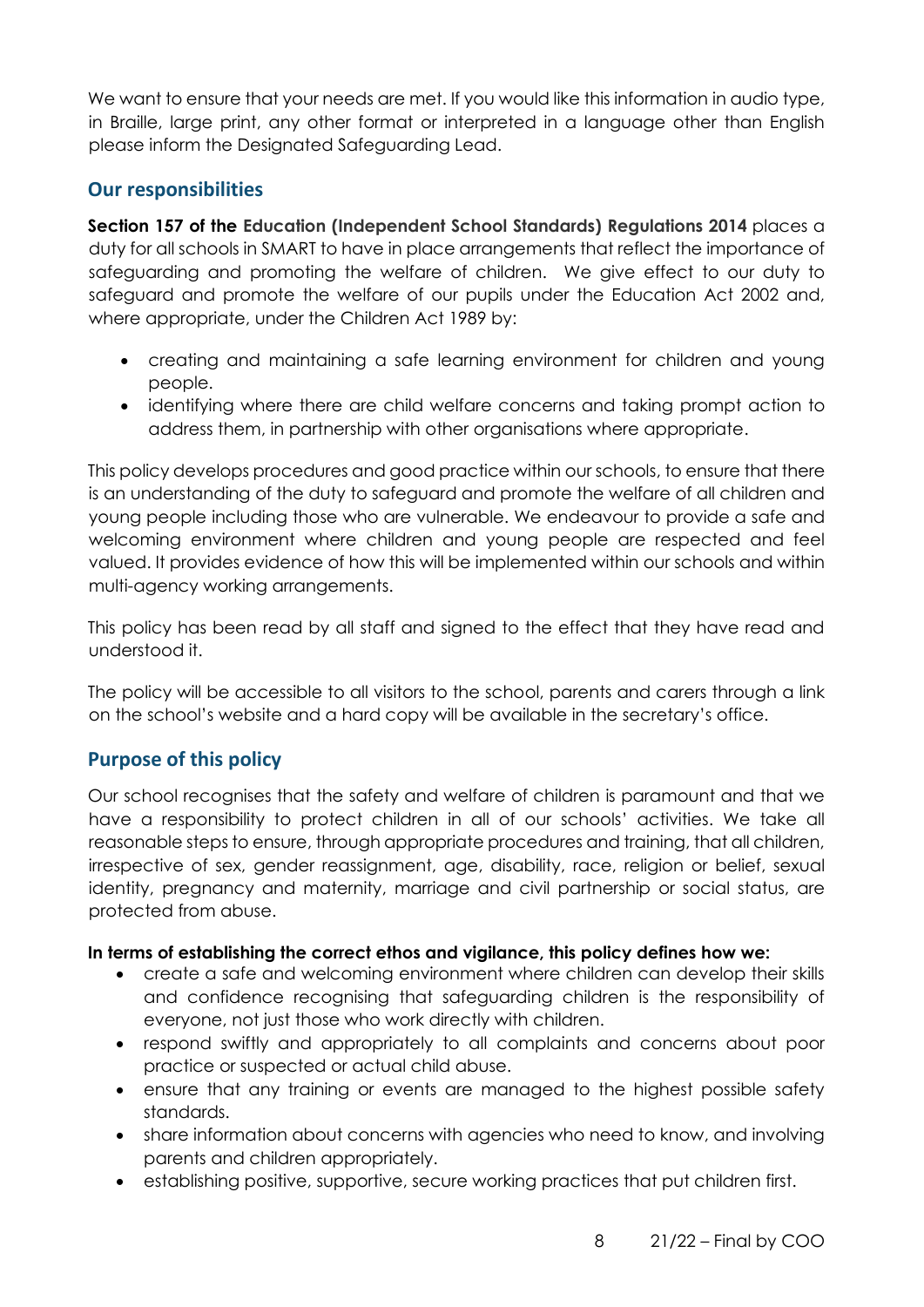We want to ensure that your needs are met. If you would like this information in audio type, in Braille, large print, any other format or interpreted in a language other than English please inform the Designated Safeguarding Lead.

#### <span id="page-7-0"></span>**Our responsibilities**

**Section 157 of the Education (Independent School Standards) Regulations 2014** places a duty for all schools in SMART to have in place arrangements that reflect the importance of safeguarding and promoting the welfare of children. We give effect to our duty to safeguard and promote the welfare of our pupils under the Education Act 2002 and, where appropriate, under the Children Act 1989 by:

- creating and maintaining a safe learning environment for children and young people.
- identifying where there are child welfare concerns and taking prompt action to address them, in partnership with other organisations where appropriate.

This policy develops procedures and good practice within our schools, to ensure that there is an understanding of the duty to safeguard and promote the welfare of all children and young people including those who are vulnerable. We endeavour to provide a safe and welcoming environment where children and young people are respected and feel valued. It provides evidence of how this will be implemented within our schools and within multi-agency working arrangements.

This policy has been read by all staff and signed to the effect that they have read and understood it.

The policy will be accessible to all visitors to the school, parents and carers through a link on the school's website and a hard copy will be available in the secretary's office.

#### <span id="page-7-1"></span>**Purpose of this policy**

Our school recognises that the safety and welfare of children is paramount and that we have a responsibility to protect children in all of our schools' activities. We take all reasonable steps to ensure, through appropriate procedures and training, that all children, irrespective of sex, gender reassignment, age, disability, race, religion or belief, sexual identity, pregnancy and maternity, marriage and civil partnership or social status, are protected from abuse.

#### **In terms of establishing the correct ethos and vigilance, this policy defines how we:**

- create a safe and welcoming environment where children can develop their skills and confidence recognising that safeguarding children is the responsibility of everyone, not just those who work directly with children.
- respond swiftly and appropriately to all complaints and concerns about poor practice or suspected or actual child abuse.
- ensure that any training or events are managed to the highest possible safety standards.
- share information about concerns with agencies who need to know, and involving parents and children appropriately.
- establishing positive, supportive, secure working practices that put children first.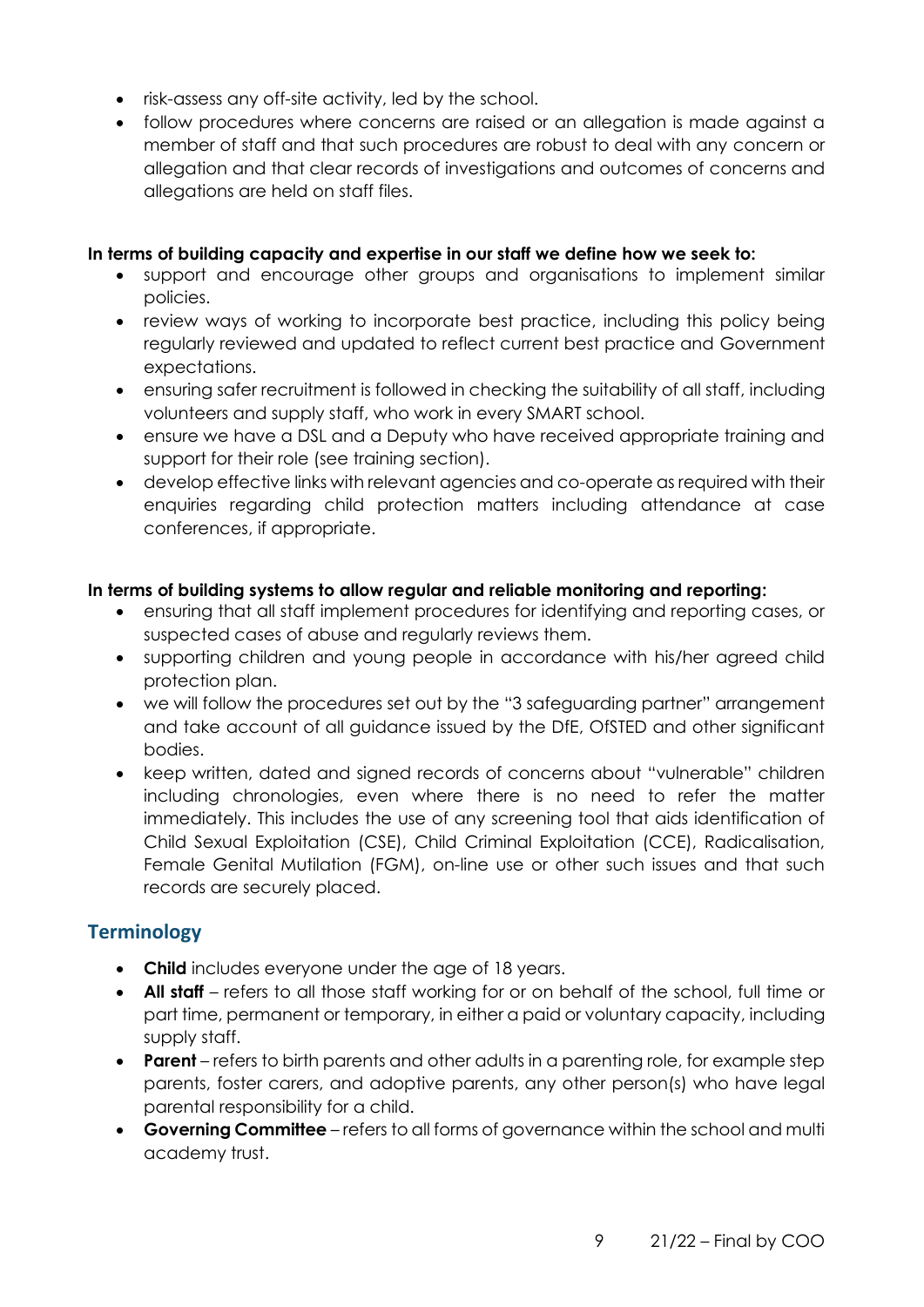- risk-assess any off-site activity, led by the school.
- follow procedures where concerns are raised or an allegation is made against a member of staff and that such procedures are robust to deal with any concern or allegation and that clear records of investigations and outcomes of concerns and allegations are held on staff files.

#### **In terms of building capacity and expertise in our staff we define how we seek to:**

- support and encourage other groups and organisations to implement similar policies.
- review ways of working to incorporate best practice, including this policy being regularly reviewed and updated to reflect current best practice and Government expectations.
- ensuring safer recruitment is followed in checking the suitability of all staff, including volunteers and supply staff, who work in every SMART school.
- ensure we have a DSL and a Deputy who have received appropriate training and support for their role (see training section).
- develop effective links with relevant agencies and co-operate as required with their enquiries regarding child protection matters including attendance at case conferences, if appropriate.

#### **In terms of building systems to allow regular and reliable monitoring and reporting:**

- ensuring that all staff implement procedures for identifying and reporting cases, or suspected cases of abuse and regularly reviews them.
- supporting children and young people in accordance with his/her agreed child protection plan.
- we will follow the procedures set out by the "3 safeguarding partner" arrangement and take account of all guidance issued by the DfE, OfSTED and other significant bodies.
- keep written, dated and signed records of concerns about "vulnerable" children including chronologies, even where there is no need to refer the matter immediately. This includes the use of any screening tool that aids identification of Child Sexual Exploitation (CSE), Child Criminal Exploitation (CCE), Radicalisation, Female Genital Mutilation (FGM), on-line use or other such issues and that such records are securely placed.

#### <span id="page-8-0"></span>**Terminology**

- **Child** includes everyone under the age of 18 years.
- **All staff** refers to all those staff working for or on behalf of the school, full time or part time, permanent or temporary, in either a paid or voluntary capacity, including supply staff.
- **Parent**  refers to birth parents and other adults in a parenting role, for example step parents, foster carers, and adoptive parents, any other person(s) who have legal parental responsibility for a child.
- **Governing Committee**  refers to all forms of governance within the school and multi academy trust.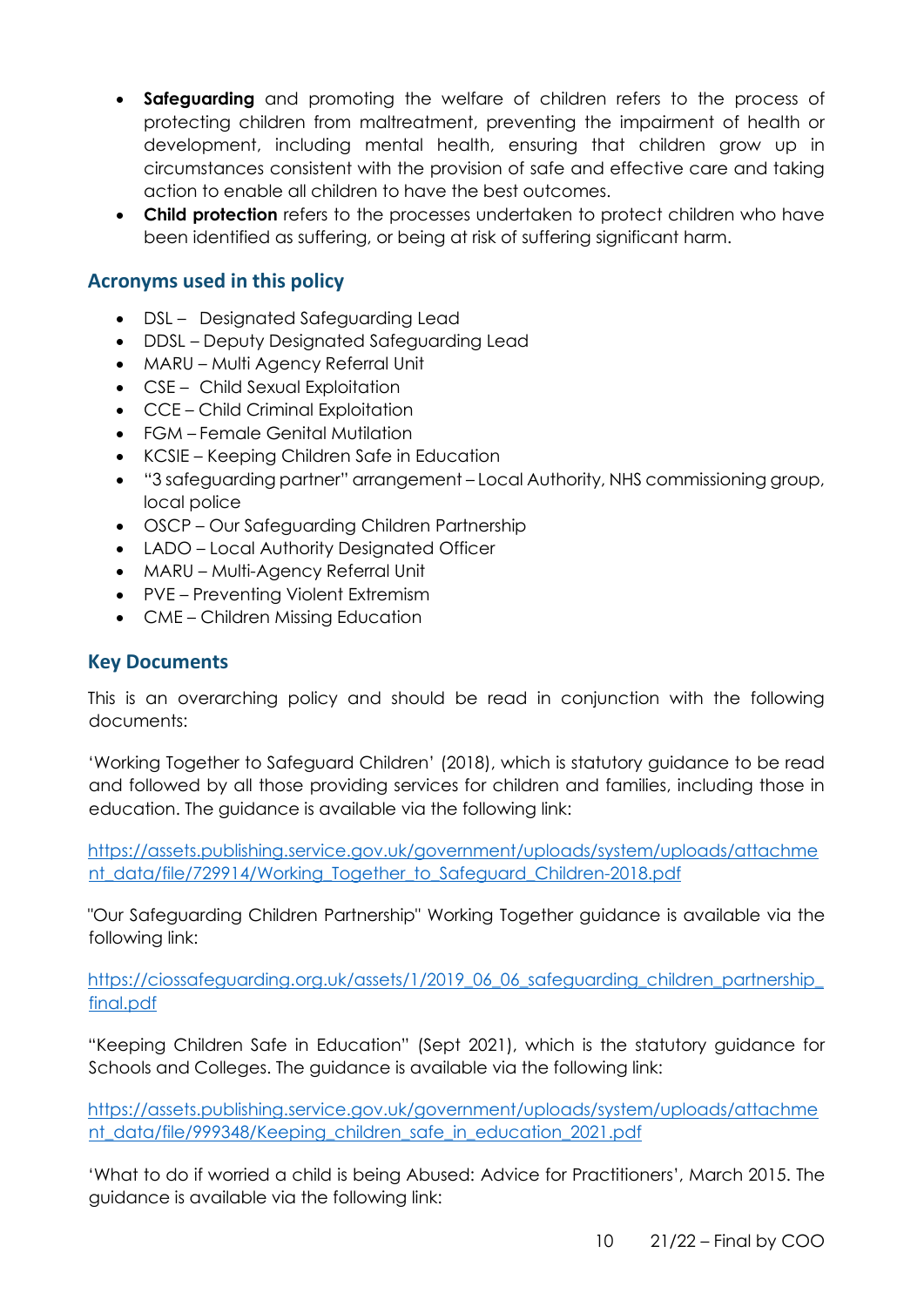- **Safeguarding** and promoting the welfare of children refers to the process of protecting children from maltreatment, preventing the impairment of health or development, including mental health, ensuring that children grow up in circumstances consistent with the provision of safe and effective care and taking action to enable all children to have the best outcomes.
- **Child protection** refers to the processes undertaken to protect children who have been identified as suffering, or being at risk of suffering significant harm.

#### <span id="page-9-0"></span>**Acronyms used in this policy**

- DSL Designated Safeguarding Lead
- DDSL Deputy Designated Safeguarding Lead
- MARU Multi Agency Referral Unit
- CSE Child Sexual Exploitation
- CCE Child Criminal Exploitation
- FGM Female Genital Mutilation
- KCSIE Keeping Children Safe in Education
- "3 safeguarding partner" arrangement Local Authority, NHS commissioning group, local police
- OSCP Our Safeguarding Children Partnership
- LADO Local Authority Desianated Officer
- MARU Multi-Agency Referral Unit
- PVE Preventing Violent Extremism
- CME Children Missing Education

#### <span id="page-9-1"></span>**Key Documents**

This is an overarching policy and should be read in conjunction with the following documents:

'Working Together to Safeguard Children' (2018), which is statutory guidance to be read and followed by all those providing services for children and families, including those in education. The guidance is available via the following link:

[https://assets.publishing.service.gov.uk/government/uploads/system/uploads/attachme](https://assets.publishing.service.gov.uk/government/uploads/system/uploads/attachment_data/file/729914/Working_Together_to_Safeguard_Children-2018.pdf) [nt\\_data/file/729914/Working\\_Together\\_to\\_Safeguard\\_Children-2018.pdf](https://assets.publishing.service.gov.uk/government/uploads/system/uploads/attachment_data/file/729914/Working_Together_to_Safeguard_Children-2018.pdf)

"Our Safeguarding Children Partnership" Working Together guidance is available via the following link:

https://ciossafeguarding.org.uk/gssets/1/2019\_06\_06\_safeguarding\_children\_partnership\_ [final.pdf](https://ciossafeguarding.org.uk/assets/1/2019_06_06_safeguarding_children_partnership_final.pdf)

"Keeping Children Safe in Education" (Sept 2021), which is the statutory guidance for Schools and Colleges. The guidance is available via the following link:

[https://assets.publishing.service.gov.uk/government/uploads/system/uploads/attachme](https://assets.publishing.service.gov.uk/government/uploads/system/uploads/attachment_data/file/999348/Keeping_children_safe_in_education_2021.pdf) [nt\\_data/file/999348/Keeping\\_children\\_safe\\_in\\_education\\_2021.pdf](https://assets.publishing.service.gov.uk/government/uploads/system/uploads/attachment_data/file/999348/Keeping_children_safe_in_education_2021.pdf)

'What to do if worried a child is being Abused: Advice for Practitioners', March 2015. The guidance is available via the following link: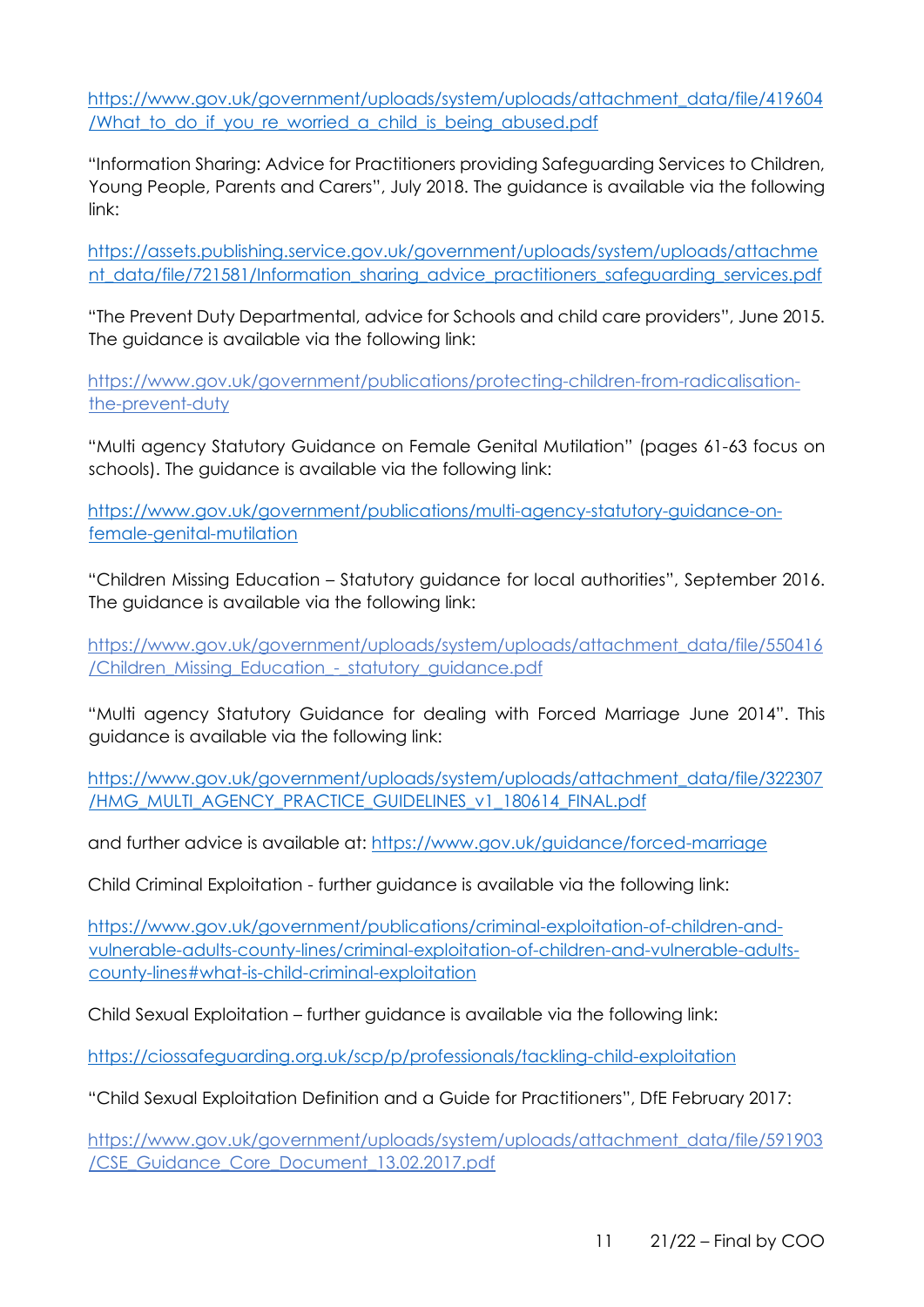[https://www.gov.uk/government/uploads/system/uploads/attachment\\_data/file/419604](https://www.gov.uk/government/uploads/system/uploads/attachment_data/file/419604/What_to_do_if_you_re_worried_a_child_is_being_abused.pdf) [/What\\_to\\_do\\_if\\_you\\_re\\_worried\\_a\\_child\\_is\\_being\\_abused.pdf](https://www.gov.uk/government/uploads/system/uploads/attachment_data/file/419604/What_to_do_if_you_re_worried_a_child_is_being_abused.pdf)

"Information Sharing: Advice for Practitioners providing Safeguarding Services to Children, Young People, Parents and Carers", July 2018. The guidance is available via the following link:

[https://assets.publishing.service.gov.uk/government/uploads/system/uploads/attachme](https://assets.publishing.service.gov.uk/government/uploads/system/uploads/attachment_data/file/721581/Information_sharing_advice_practitioners_safeguarding_services.pdf) [nt\\_data/file/721581/Information\\_sharing\\_advice\\_practitioners\\_safeguarding\\_services.pdf](https://assets.publishing.service.gov.uk/government/uploads/system/uploads/attachment_data/file/721581/Information_sharing_advice_practitioners_safeguarding_services.pdf)

"The Prevent Duty Departmental, advice for Schools and child care providers", June 2015. The guidance is available via the following link:

[https://www.gov.uk/government/publications/protecting-children-from-radicalisation](http://safercornwall.co.uk/preventing-crime/preventing-violent-extremism/)[the-prevent-duty](http://safercornwall.co.uk/preventing-crime/preventing-violent-extremism/)

"Multi agency Statutory Guidance on Female Genital Mutilation" (pages 61-63 focus on schools). The guidance is available via the following link:

[https://www.gov.uk/government/publications/multi-agency-statutory-guidance-on](https://www.gov.uk/government/publications/multi-agency-statutory-guidance-on-female-genital-mutilation)[female-genital-mutilation](https://www.gov.uk/government/publications/multi-agency-statutory-guidance-on-female-genital-mutilation)

"Children Missing Education – Statutory guidance for local authorities", September 2016. The guidance is available via the following link:

[https://www.gov.uk/government/uploads/system/uploads/attachment\\_data/file/550416](https://www.gov.uk/government/uploads/system/uploads/attachment_data/file/550416/Children_Missing_Education_-_statutory_guidance.pdf) [/Children\\_Missing\\_Education\\_-\\_statutory\\_guidance.pdf](https://www.gov.uk/government/uploads/system/uploads/attachment_data/file/550416/Children_Missing_Education_-_statutory_guidance.pdf)

"Multi agency Statutory Guidance for dealing with Forced Marriage June 2014". This guidance is available via the following link:

[https://www.gov.uk/government/uploads/system/uploads/attachment\\_data/file/322307](https://www.gov.uk/government/uploads/system/uploads/attachment_data/file/322307/HMG_MULTI_AGENCY_PRACTICE_GUIDELINES_v1_180614_FINAL.pdf) [/HMG\\_MULTI\\_AGENCY\\_PRACTICE\\_GUIDELINES\\_v1\\_180614\\_FINAL.pdf](https://www.gov.uk/government/uploads/system/uploads/attachment_data/file/322307/HMG_MULTI_AGENCY_PRACTICE_GUIDELINES_v1_180614_FINAL.pdf)

and further advice is available at:<https://www.gov.uk/guidance/forced-marriage>

Child Criminal Exploitation - further guidance is available via the following link:

[https://www.gov.uk/government/publications/criminal-exploitation-of-children-and](https://www.gov.uk/government/publications/criminal-exploitation-of-children-and-vulnerable-adults-county-lines/criminal-exploitation-of-children-and-vulnerable-adults-county-lines#what-is-child-criminal-exploitation)[vulnerable-adults-county-lines/criminal-exploitation-of-children-and-vulnerable-adults](https://www.gov.uk/government/publications/criminal-exploitation-of-children-and-vulnerable-adults-county-lines/criminal-exploitation-of-children-and-vulnerable-adults-county-lines#what-is-child-criminal-exploitation)[county-lines#what-is-child-criminal-exploitation](https://www.gov.uk/government/publications/criminal-exploitation-of-children-and-vulnerable-adults-county-lines/criminal-exploitation-of-children-and-vulnerable-adults-county-lines#what-is-child-criminal-exploitation)

Child Sexual Exploitation – further guidance is available via the following link:

<https://ciossafeguarding.org.uk/scp/p/professionals/tackling-child-exploitation>

"Child Sexual Exploitation Definition and a Guide for Practitioners", DfE February 2017:

[https://www.gov.uk/government/uploads/system/uploads/attachment\\_data/file/591903](https://www.gov.uk/government/uploads/system/uploads/attachment_data/file/591903/CSE_Guidance_Core_Document_13.02.2017.pdf) [/CSE\\_Guidance\\_Core\\_Document\\_13.02.2017.pdf](https://www.gov.uk/government/uploads/system/uploads/attachment_data/file/591903/CSE_Guidance_Core_Document_13.02.2017.pdf)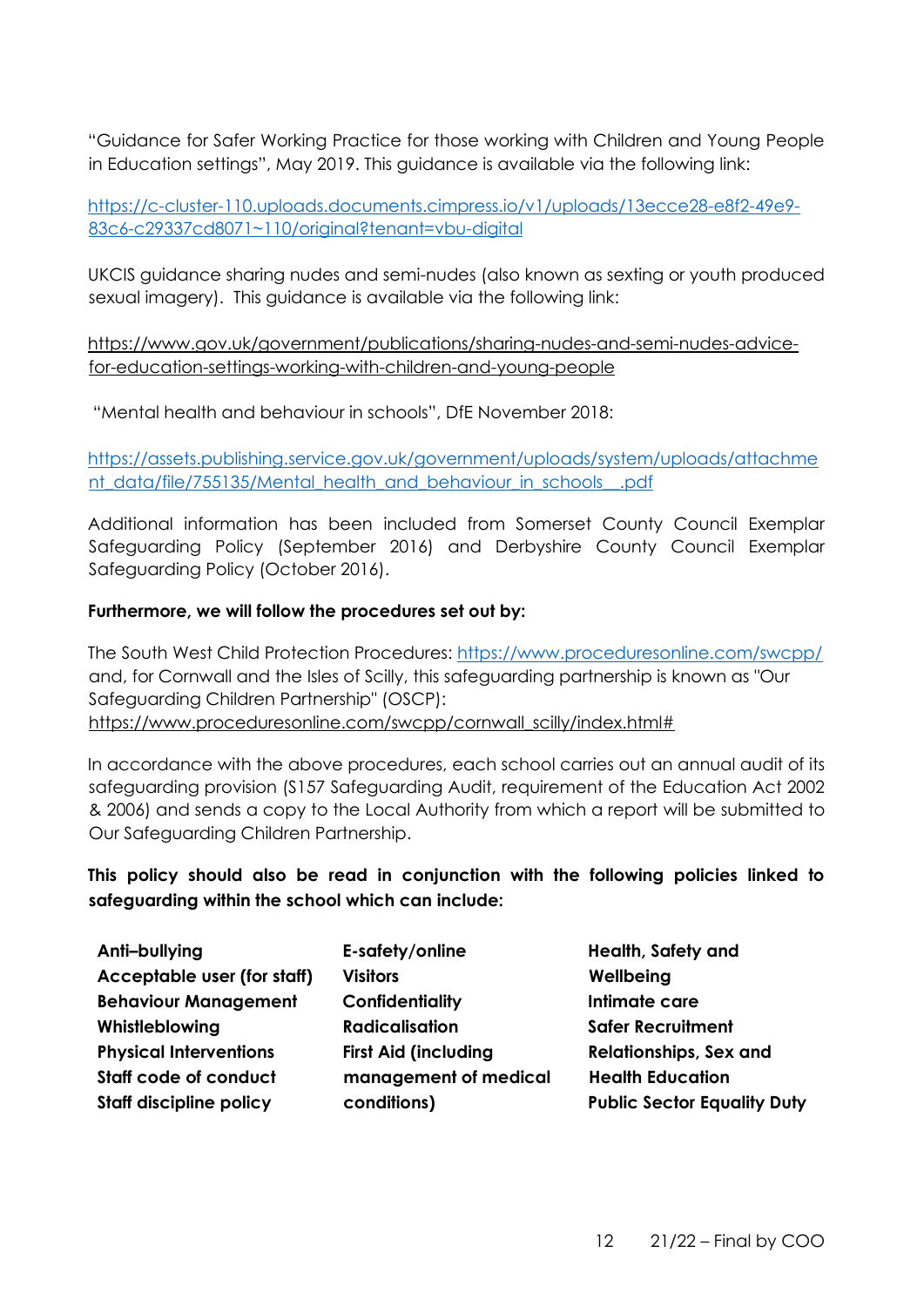"Guidance for Safer Working Practice for those working with Children and Young People in Education settings", May 2019. This guidance is available via the following link:

#### [https://c-cluster-110.uploads.documents.cimpress.io/v1/uploads/13ecce28-e8f2-49e9-](https://c-cluster-110.uploads.documents.cimpress.io/v1/uploads/13ecce28-e8f2-49e9-83c6-c29337cd8071~110/original?tenant=vbu-digital) [83c6-c29337cd8071~110/original?tenant=vbu-digital](https://c-cluster-110.uploads.documents.cimpress.io/v1/uploads/13ecce28-e8f2-49e9-83c6-c29337cd8071~110/original?tenant=vbu-digital)

UKCIS guidance sharing nudes and semi-nudes (also known as sexting or youth produced sexual imagery). This guidance is available via the following link:

[https://www.gov.uk/government/publications/sharing-nudes-and-semi-nudes-advice](https://www.gov.uk/government/publications/sharing-nudes-and-semi-nudes-advice-for-education-settings-working-with-children-and-young-people)[for-education-settings-working-with-children-and-young-people](https://www.gov.uk/government/publications/sharing-nudes-and-semi-nudes-advice-for-education-settings-working-with-children-and-young-people)

"Mental health and behaviour in schools", DfE November 2018:

[https://assets.publishing.service.gov.uk/government/uploads/system/uploads/attachme](https://assets.publishing.service.gov.uk/government/uploads/system/uploads/attachment_data/file/755135/Mental_health_and_behaviour_in_schools__.pdf) nt data/file/755135/Mental health and behaviour in schools .pdf

Additional information has been included from Somerset County Council Exemplar Safeguarding Policy (September 2016) and Derbyshire County Council Exemplar Safeguarding Policy (October 2016).

#### **Furthermore, we will follow the procedures set out by:**

The South West Child Protection Procedures:<https://www.proceduresonline.com/swcpp/> and, for Cornwall and the Isles of Scilly, this safeguarding partnership is known as "Our Safeguarding Children Partnership" (OSCP): [https://www.proceduresonline.com/swcpp/cornwall\\_scilly/index.html#](https://www.proceduresonline.com/swcpp/cornwall_scilly/index.html)

In accordance with the above procedures, each school carries out an annual audit of its safeguarding provision (S157 Safeguarding Audit, requirement of the Education Act 2002 & 2006) and sends a copy to the Local Authority from which a report will be submitted to Our Safeguarding Children Partnership.

#### **This policy should also be read in conjunction with the following policies linked to safeguarding within the school which can include:**

| Anti-bullying                  | E-safety/online             | Health, Safety and                 |
|--------------------------------|-----------------------------|------------------------------------|
| Acceptable user (for staff)    | <b>Visitors</b>             | Wellbeing                          |
| <b>Behaviour Management</b>    | <b>Confidentiality</b>      | Intimate care                      |
| Whistleblowing                 | <b>Radicalisation</b>       | <b>Safer Recruitment</b>           |
| <b>Physical Interventions</b>  | <b>First Aid (including</b> | <b>Relationships, Sex and</b>      |
| Staff code of conduct          | management of medical       | <b>Health Education</b>            |
| <b>Staff discipline policy</b> | conditions)                 | <b>Public Sector Equality Duty</b> |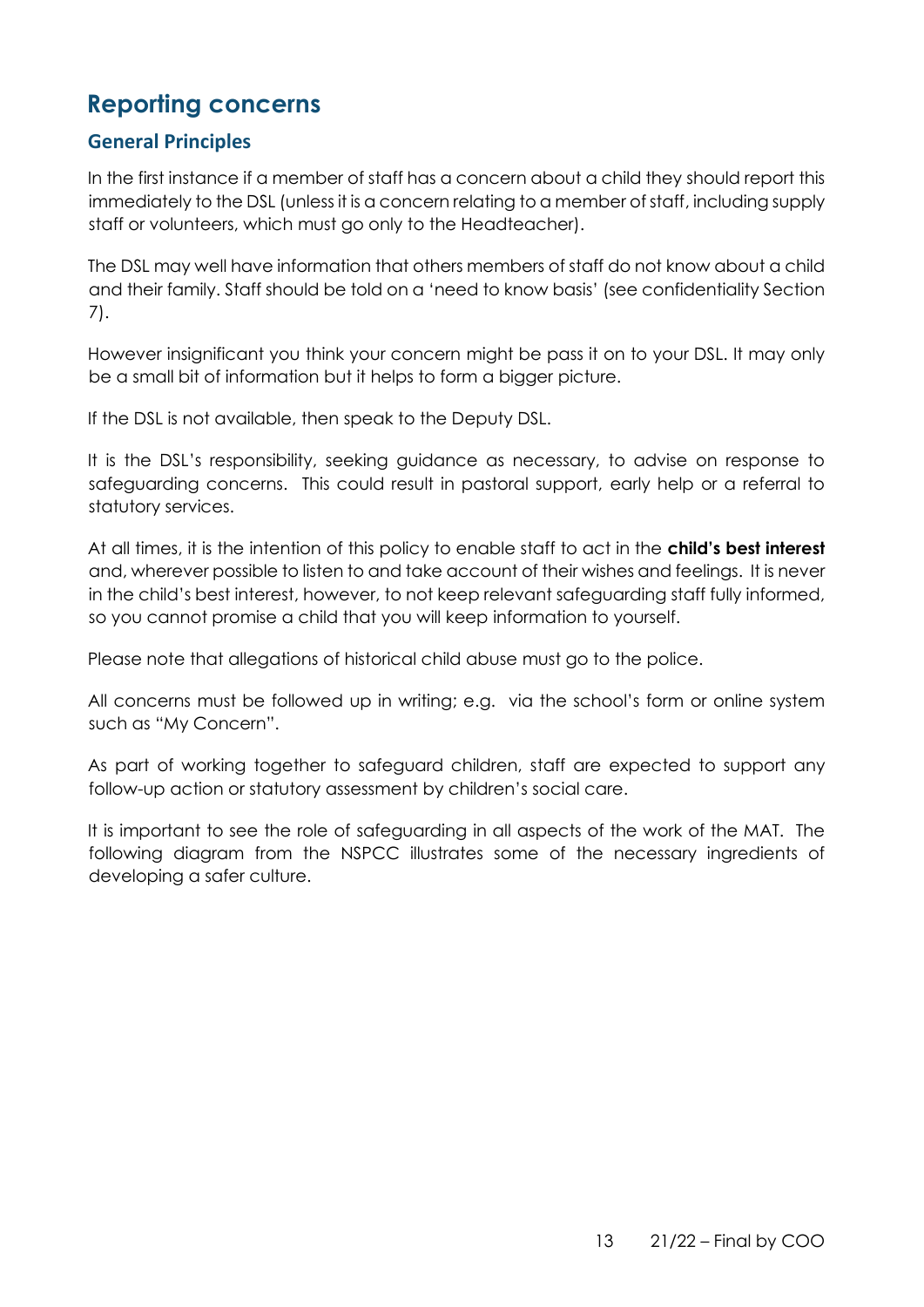## <span id="page-12-0"></span>**Reporting concerns**

#### <span id="page-12-1"></span>**General Principles**

In the first instance if a member of staff has a concern about a child they should report this immediately to the DSL (unless it is a concern relating to a member of staff, including supply staff or volunteers, which must go only to the Headteacher).

The DSL may well have information that others members of staff do not know about a child and their family. Staff should be told on a 'need to know basis' (see confidentiality Section 7).

However insignificant you think your concern might be pass it on to your DSL. It may only be a small bit of information but it helps to form a bigger picture.

If the DSL is not available, then speak to the Deputy DSL.

It is the DSL's responsibility, seeking guidance as necessary, to advise on response to safeguarding concerns. This could result in pastoral support, early help or a referral to statutory services.

At all times, it is the intention of this policy to enable staff to act in the **child's best interest** and, wherever possible to listen to and take account of their wishes and feelings. It is never in the child's best interest, however, to not keep relevant safeguarding staff fully informed, so you cannot promise a child that you will keep information to yourself.

Please note that allegations of historical child abuse must go to the police.

All concerns must be followed up in writing; e.g. via the school's form or online system such as "My Concern".

As part of working together to safeguard children, staff are expected to support any follow-up action or statutory assessment by children's social care.

It is important to see the role of safeguarding in all aspects of the work of the MAT. The following diagram from the NSPCC illustrates some of the necessary ingredients of developing a safer culture.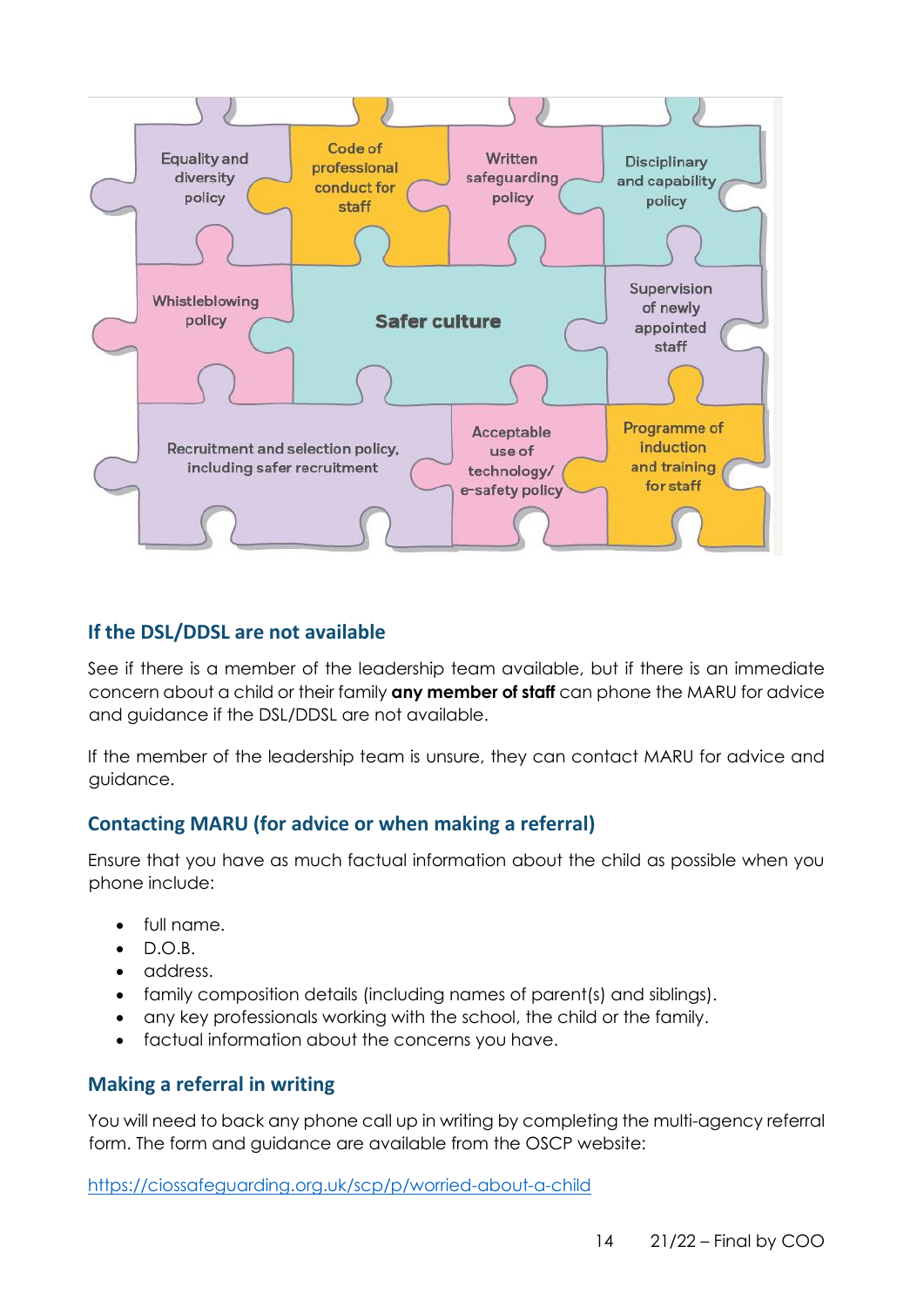

#### <span id="page-13-0"></span>**If the DSL/DDSL are not available**

See if there is a member of the leadership team available, but if there is an immediate concern about a child or their family **any member of staff** can phone the MARU for advice and guidance if the DSL/DDSL are not available.

If the member of the leadership team is unsure, they can contact MARU for advice and guidance.

#### <span id="page-13-1"></span>**Contacting MARU (for advice or when making a referral)**

Ensure that you have as much factual information about the child as possible when you phone include:

- full name.
- $\bullet$  D.O.B.
- address.
- family composition details (including names of parent(s) and siblings).
- any key professionals working with the school, the child or the family.
- factual information about the concerns you have.

#### <span id="page-13-2"></span>**Making a referral in writing**

You will need to back any phone call up in writing by completing the multi-agency referral form. The form and guidance are available from the OSCP website:

<https://ciossafeguarding.org.uk/scp/p/worried-about-a-child>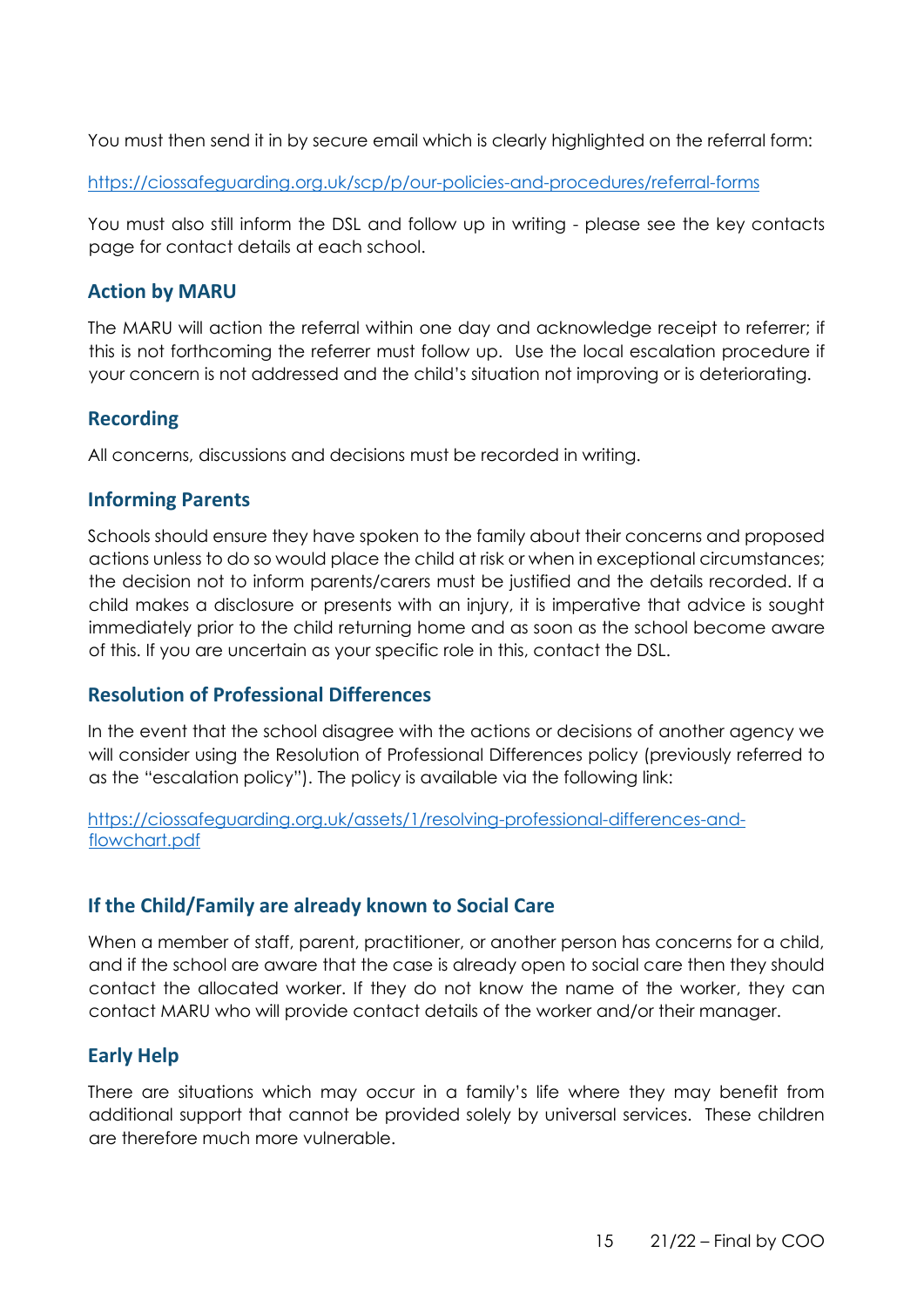You must then send it in by secure email which is clearly highlighted on the referral form:

<https://ciossafeguarding.org.uk/scp/p/our-policies-and-procedures/referral-forms>

You must also still inform the DSL and follow up in writing - please see the key contacts page for contact details at each school.

#### <span id="page-14-0"></span>**Action by MARU**

The MARU will action the referral within one day and acknowledge receipt to referrer; if this is not forthcoming the referrer must follow up. Use the local escalation procedure if your concern is not addressed and the child's situation not improving or is deteriorating.

#### <span id="page-14-1"></span>**Recording**

All concerns, discussions and decisions must be recorded in writing.

#### <span id="page-14-2"></span>**Informing Parents**

Schools should ensure they have spoken to the family about their concerns and proposed actions unless to do so would place the child at risk or when in exceptional circumstances; the decision not to inform parents/carers must be justified and the details recorded. If a child makes a disclosure or presents with an injury, it is imperative that advice is sought immediately prior to the child returning home and as soon as the school become aware of this. If you are uncertain as your specific role in this, contact the DSL.

#### <span id="page-14-3"></span>**Resolution of Professional Differences**

In the event that the school disagree with the actions or decisions of another agency we will consider using the Resolution of Professional Differences policy (previously referred to as the "escalation policy"). The policy is available via the following link:

[https://ciossafeguarding.org.uk/assets/1/resolving-professional-differences-and](https://ciossafeguarding.org.uk/assets/1/resolving-professional-differences-and-flowchart.pdf)[flowchart.pdf](https://ciossafeguarding.org.uk/assets/1/resolving-professional-differences-and-flowchart.pdf)

#### <span id="page-14-4"></span>**If the Child/Family are already known to Social Care**

When a member of staff, parent, practitioner, or another person has concerns for a child, and if the school are aware that the case is already open to social care then they should contact the allocated worker. If they do not know the name of the worker, they can contact MARU who will provide contact details of the worker and/or their manager.

#### <span id="page-14-5"></span>**Early Help**

There are situations which may occur in a family's life where they may benefit from additional support that cannot be provided solely by universal services. These children are therefore much more vulnerable.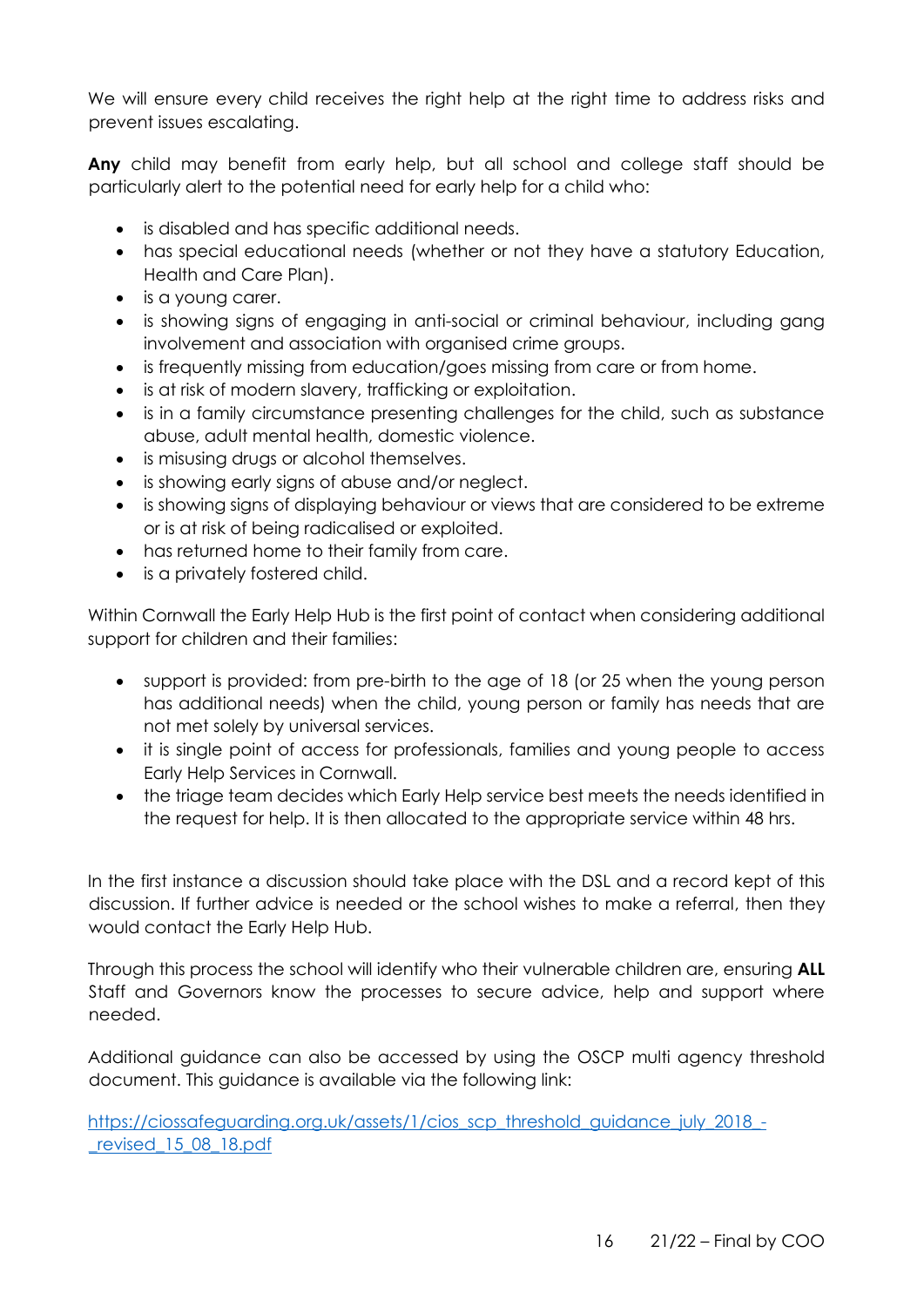We will ensure every child receives the right help at the right time to address risks and prevent issues escalating.

**Any** child may benefit from early help, but all school and college staff should be particularly alert to the potential need for early help for a child who:

- is disabled and has specific additional needs.
- has special educational needs (whether or not they have a statutory Education, Health and Care Plan).
- is a young carer.
- is showing signs of engaging in anti-social or criminal behaviour, including gang involvement and association with organised crime groups.
- is frequently missing from education/goes missing from care or from home.
- is at risk of modern slavery, trafficking or exploitation.
- is in a family circumstance presenting challenges for the child, such as substance abuse, adult mental health, domestic violence.
- is misusing drugs or alcohol themselves.
- is showing early signs of abuse and/or neglect.
- is showing signs of displaying behaviour or views that are considered to be extreme or is at risk of being radicalised or exploited.
- has returned home to their family from care.
- is a privately fostered child.

Within Cornwall the Early Help Hub is the first point of contact when considering additional support for children and their families:

- support is provided: from pre-birth to the age of 18 (or 25 when the young person has additional needs) when the child, young person or family has needs that are not met solely by universal services.
- it is single point of access for professionals, families and young people to access Early Help Services in Cornwall.
- the triage team decides which Early Help service best meets the needs identified in the request for help. It is then allocated to the appropriate service within 48 hrs.

In the first instance a discussion should take place with the DSL and a record kept of this discussion. If further advice is needed or the school wishes to make a referral, then they would contact the Early Help Hub.

Through this process the school will identify who their vulnerable children are, ensuring **ALL** Staff and Governors know the processes to secure advice, help and support where needed.

Additional guidance can also be accessed by using the OSCP multi agency threshold document. This guidance is available via the following link:

[https://ciossafeguarding.org.uk/assets/1/cios\\_scp\\_threshold\\_guidance\\_july\\_2018\\_-](https://ciossafeguarding.org.uk/assets/1/cios_scp_threshold_guidance_july_2018_-_revised_15_08_18.pdf) [\\_revised\\_15\\_08\\_18.pdf](https://ciossafeguarding.org.uk/assets/1/cios_scp_threshold_guidance_july_2018_-_revised_15_08_18.pdf)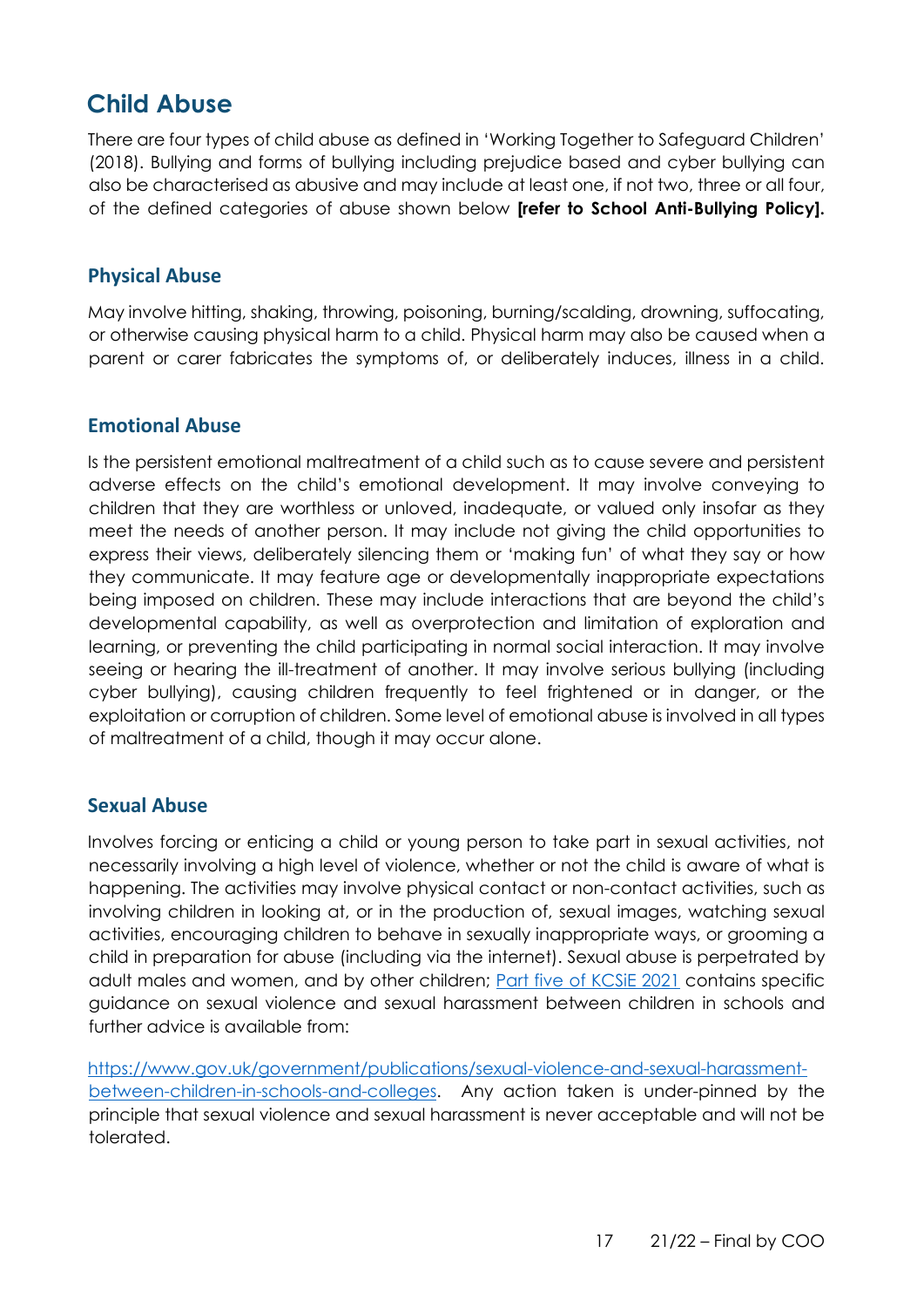## <span id="page-16-0"></span>**Child Abuse**

There are four types of child abuse as defined in 'Working Together to Safeguard Children' (2018). Bullying and forms of bullying including prejudice based and cyber bullying can also be characterised as abusive and may include at least one, if not two, three or all four, of the defined categories of abuse shown below **[refer to School Anti-Bullying Policy].**

#### <span id="page-16-1"></span>**Physical Abuse**

May involve hitting, shaking, throwing, poisoning, burning/scalding, drowning, suffocating, or otherwise causing physical harm to a child. Physical harm may also be caused when a parent or carer fabricates the symptoms of, or deliberately induces, illness in a child.

#### <span id="page-16-2"></span>**Emotional Abuse**

Is the persistent emotional maltreatment of a child such as to cause severe and persistent adverse effects on the child's emotional development. It may involve conveying to children that they are worthless or unloved, inadequate, or valued only insofar as they meet the needs of another person. It may include not giving the child opportunities to express their views, deliberately silencing them or 'making fun' of what they say or how they communicate. It may feature age or developmentally inappropriate expectations being imposed on children. These may include interactions that are beyond the child's developmental capability, as well as overprotection and limitation of exploration and learning, or preventing the child participating in normal social interaction. It may involve seeing or hearing the ill-treatment of another. It may involve serious bullying (including cyber bullying), causing children frequently to feel frightened or in danger, or the exploitation or corruption of children. Some level of emotional abuse is involved in all types of maltreatment of a child, though it may occur alone.

#### <span id="page-16-3"></span>**Sexual Abuse**

Involves forcing or enticing a child or young person to take part in sexual activities, not necessarily involving a high level of violence, whether or not the child is aware of what is happening. The activities may involve physical contact or non-contact activities, such as involving children in looking at, or in the production of, sexual images, watching sexual activities, encouraging children to behave in sexually inappropriate ways, or grooming a child in preparation for abuse (including via the internet). Sexual abuse is perpetrated by adult males and women, and by other children; [Part five of KCSiE 2021](https://assets.publishing.service.gov.uk/government/uploads/system/uploads/attachment_data/file/999348/Keeping_children_safe_in_education_2021.pdf) contains specific guidance on sexual violence and sexual harassment between children in schools and further advice is available from:

[https://www.gov.uk/government/publications/sexual-violence-and-sexual-harassment](https://www.gov.uk/government/publications/sexual-violence-and-sexual-harassment-between-children-in-schools-and-colleges)[between-children-in-schools-and-colleges.](https://www.gov.uk/government/publications/sexual-violence-and-sexual-harassment-between-children-in-schools-and-colleges) Any action taken is under-pinned by the principle that sexual violence and sexual harassment is never acceptable and will not be tolerated.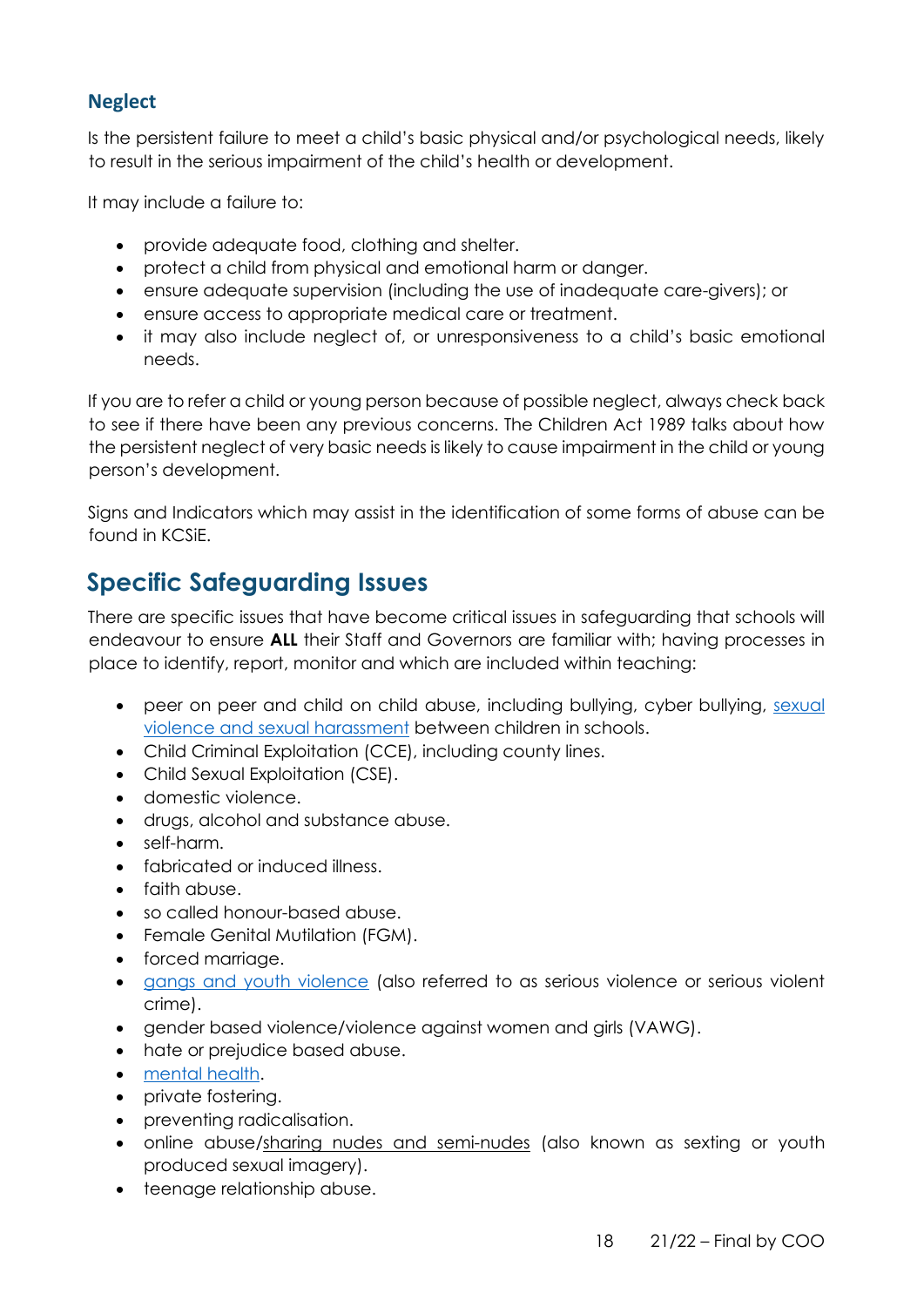#### <span id="page-17-0"></span>**Neglect**

Is the persistent failure to meet a child's basic physical and/or psychological needs, likely to result in the serious impairment of the child's health or development.

It may include a failure to:

- provide adequate food, clothing and shelter.
- protect a child from physical and emotional harm or danger.
- ensure adequate supervision (including the use of inadequate care-givers); or
- ensure access to appropriate medical care or treatment.
- it may also include neglect of, or unresponsiveness to a child's basic emotional needs.

If you are to refer a child or young person because of possible neglect, always check back to see if there have been any previous concerns. The Children Act 1989 talks about how the persistent neglect of very basic needs is likely to cause impairment in the child or young person's development.

Signs and Indicators which may assist in the identification of some forms of abuse can be found in KCSiE.

## <span id="page-17-1"></span>**Specific Safeguarding Issues**

There are specific issues that have become critical issues in safeguarding that schools will endeavour to ensure **ALL** their Staff and Governors are familiar with; having processes in place to identify, report, monitor and which are included within teaching:

- peer on peer and child on child abuse, including bullying, cyber bullying, [sexual](https://www.gov.uk/government/publications/sexual-violence-and-sexual-harassment-between-children-in-schools-and-colleges)  [violence and sexual harassment](https://www.gov.uk/government/publications/sexual-violence-and-sexual-harassment-between-children-in-schools-and-colleges) between children in schools.
- Child Criminal Exploitation (CCE), including county lines.
- Child Sexual Exploitation (CSE).
- domestic violence.
- drugs, alcohol and substance abuse.
- self-harm.
- fabricated or induced illness.
- faith abuse.
- so called honour-based abuse.
- Female Genital Mutilation (FGM).
- forced marriage.
- [gangs and youth violence](https://www.gov.uk/government/publications/advice-to-schools-and-colleges-on-gangs-and-youth-violence) (also referred to as serious violence or serious violent crime).
- gender based violence/violence against women and girls (VAWG).
- hate or prejudice based abuse.
- [mental health.](https://www.gov.uk/government/publications/mental-health-and-behaviour-in-schools--2)
- private fostering.
- preventing radicalisation.
- online abuse[/sharing nudes and semi-nudes](https://www.gov.uk/government/publications/sharing-nudes-and-semi-nudes-advice-for-education-settings-working-with-children-and-young-people) (also known as sexting or youth produced sexual imagery).
- teenage relationship abuse.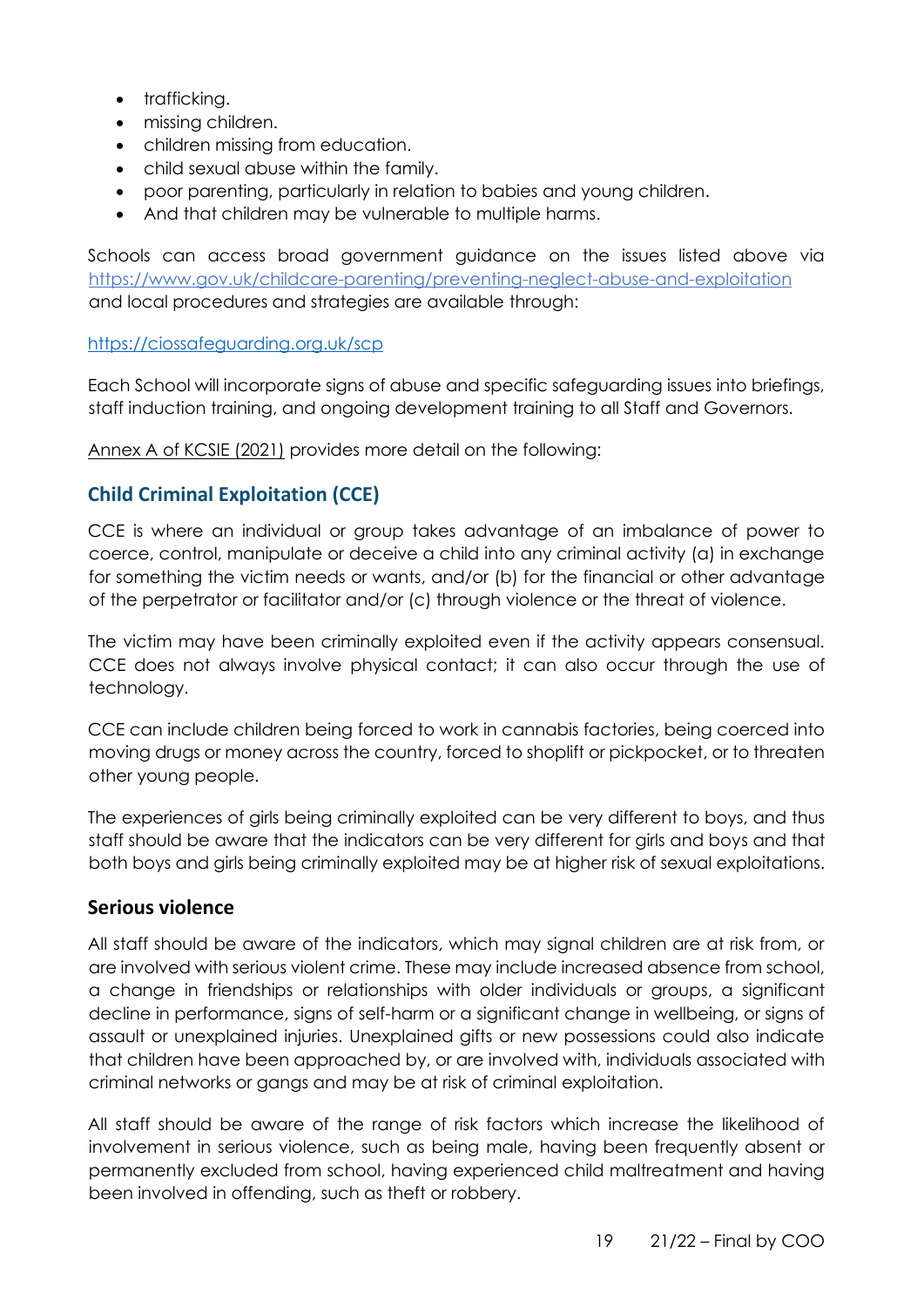- trafficking.
- missing children.
- children missing from education.
- child sexual abuse within the family.
- poor parenting, particularly in relation to babies and young children.
- And that children may be vulnerable to multiple harms.

Schools can access broad government guidance on the issues listed above via <https://www.gov.uk/childcare-parenting/preventing-neglect-abuse-and-exploitation> and local procedures and strategies are available through:

#### <https://ciossafeguarding.org.uk/scp>

Each School will incorporate signs of abuse and specific safeguarding issues into briefings, staff induction training, and ongoing development training to all Staff and Governors.

[Annex A of KCSIE \(2021\)](https://assets.publishing.service.gov.uk/government/uploads/system/uploads/attachment_data/file/999348/Keeping_children_safe_in_education_2021.pdf) provides more detail on the following:

#### <span id="page-18-0"></span>**Child Criminal Exploitation (CCE)**

CCE is where an individual or group takes advantage of an imbalance of power to coerce, control, manipulate or deceive a child into any criminal activity (a) in exchange for something the victim needs or wants, and/or (b) for the financial or other advantage of the perpetrator or facilitator and/or (c) through violence or the threat of violence.

The victim may have been criminally exploited even if the activity appears consensual. CCE does not always involve physical contact; it can also occur through the use of technology.

CCE can include children being forced to work in cannabis factories, being coerced into moving drugs or money across the country, forced to shoplift or pickpocket, or to threaten other young people.

The experiences of girls being criminally exploited can be very different to boys, and thus staff should be aware that the indicators can be very different for girls and boys and that both boys and girls being criminally exploited may be at higher risk of sexual exploitations.

#### <span id="page-18-1"></span>**Serious violence**

All staff should be aware of the indicators, which may signal children are at risk from, or are involved with serious violent crime. These may include increased absence from school, a change in friendships or relationships with older individuals or groups, a significant decline in performance, signs of self-harm or a significant change in wellbeing, or signs of assault or unexplained injuries. Unexplained gifts or new possessions could also indicate that children have been approached by, or are involved with, individuals associated with criminal networks or gangs and may be at risk of criminal exploitation.

All staff should be aware of the range of risk factors which increase the likelihood of involvement in serious violence, such as being male, having been frequently absent or permanently excluded from school, having experienced child maltreatment and having been involved in offending, such as theft or robbery.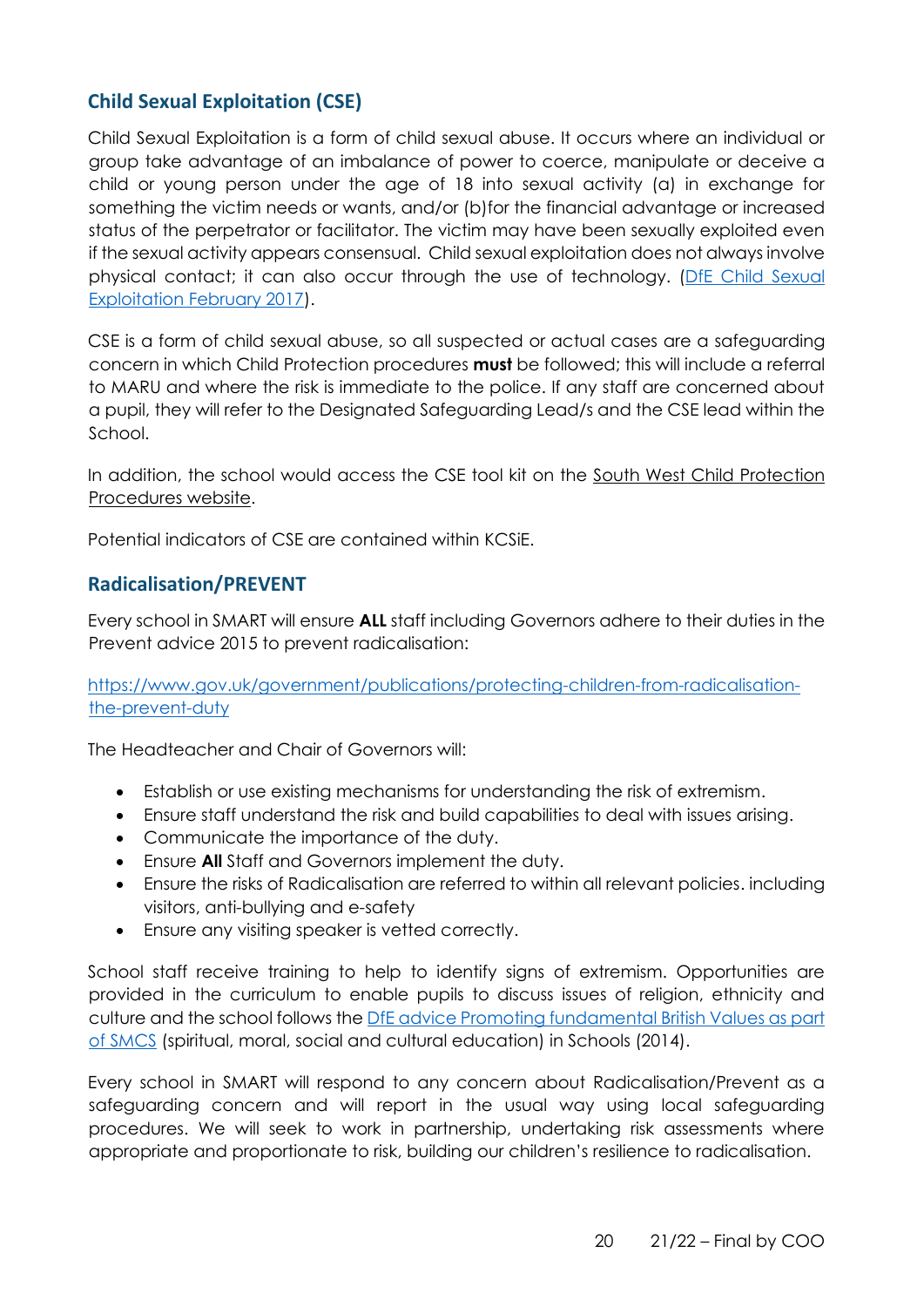#### <span id="page-19-0"></span>**Child Sexual Exploitation (CSE)**

Child Sexual Exploitation is a form of child sexual abuse. It occurs where an individual or group take advantage of an imbalance of power to coerce, manipulate or deceive a child or young person under the age of 18 into sexual activity (a) in exchange for something the victim needs or wants, and/or (b)for the financial advantage or increased status of the perpetrator or facilitator. The victim may have been sexually exploited even if the sexual activity appears consensual. Child sexual exploitation does not always involve physical contact; it can also occur through the use of technology. [\(DfE Child Sexual](https://www.gov.uk/government/uploads/system/uploads/attachment_data/file/591903/CSE_Guidance_Core_Document_13.02.2017.pdf)  [Exploitation February 2017\)](https://www.gov.uk/government/uploads/system/uploads/attachment_data/file/591903/CSE_Guidance_Core_Document_13.02.2017.pdf).

CSE is a form of child sexual abuse, so all suspected or actual cases are a safeguarding concern in which Child Protection procedures **must** be followed; this will include a referral to MARU and where the risk is immediate to the police. If any staff are concerned about a pupil, they will refer to the Designated Safeguarding Lead/s and the CSE lead within the School.

In addition, the school would access the CSE tool kit on the South West Child Protection [Procedures website.](https://www.proceduresonline.com/swcpp/cornwall_scilly/p_ch_sexual_exploit.html)

Potential indicators of CSE are contained within KCSiE.

#### <span id="page-19-1"></span>**Radicalisation/PREVENT**

Every school in SMART will ensure **ALL** staff including Governors adhere to their duties in the Prevent advice 2015 to prevent radicalisation:

[https://www.gov.uk/government/publications/protecting-children-from-radicalisation](https://www.gov.uk/government/publications/protecting-children-from-radicalisation-the-prevent-duty)[the-prevent-duty](https://www.gov.uk/government/publications/protecting-children-from-radicalisation-the-prevent-duty)

The Headteacher and Chair of Governors will:

- Establish or use existing mechanisms for understanding the risk of extremism.
- Ensure staff understand the risk and build capabilities to deal with issues arising.
- Communicate the importance of the duty.
- Ensure **All** Staff and Governors implement the duty.
- Ensure the risks of Radicalisation are referred to within all relevant policies. including visitors, anti-bullying and e-safety
- Ensure any visiting speaker is vetted correctly.

School staff receive training to help to identify signs of extremism. Opportunities are provided in the curriculum to enable pupils to discuss issues of religion, ethnicity and culture and the school follows th[e DfE advice Promoting fundamental British Values as part](https://assets.publishing.service.gov.uk/government/uploads/system/uploads/attachment_data/file/380595/SMSC_Guidance_Maintained_Schools.pdf)  [of SMCS](https://assets.publishing.service.gov.uk/government/uploads/system/uploads/attachment_data/file/380595/SMSC_Guidance_Maintained_Schools.pdf) (spiritual, moral, social and cultural education) in Schools (2014).

Every school in SMART will respond to any concern about Radicalisation/Prevent as a safeguarding concern and will report in the usual way using local safeguarding procedures. We will seek to work in partnership, undertaking risk assessments where appropriate and proportionate to risk, building our children's resilience to radicalisation.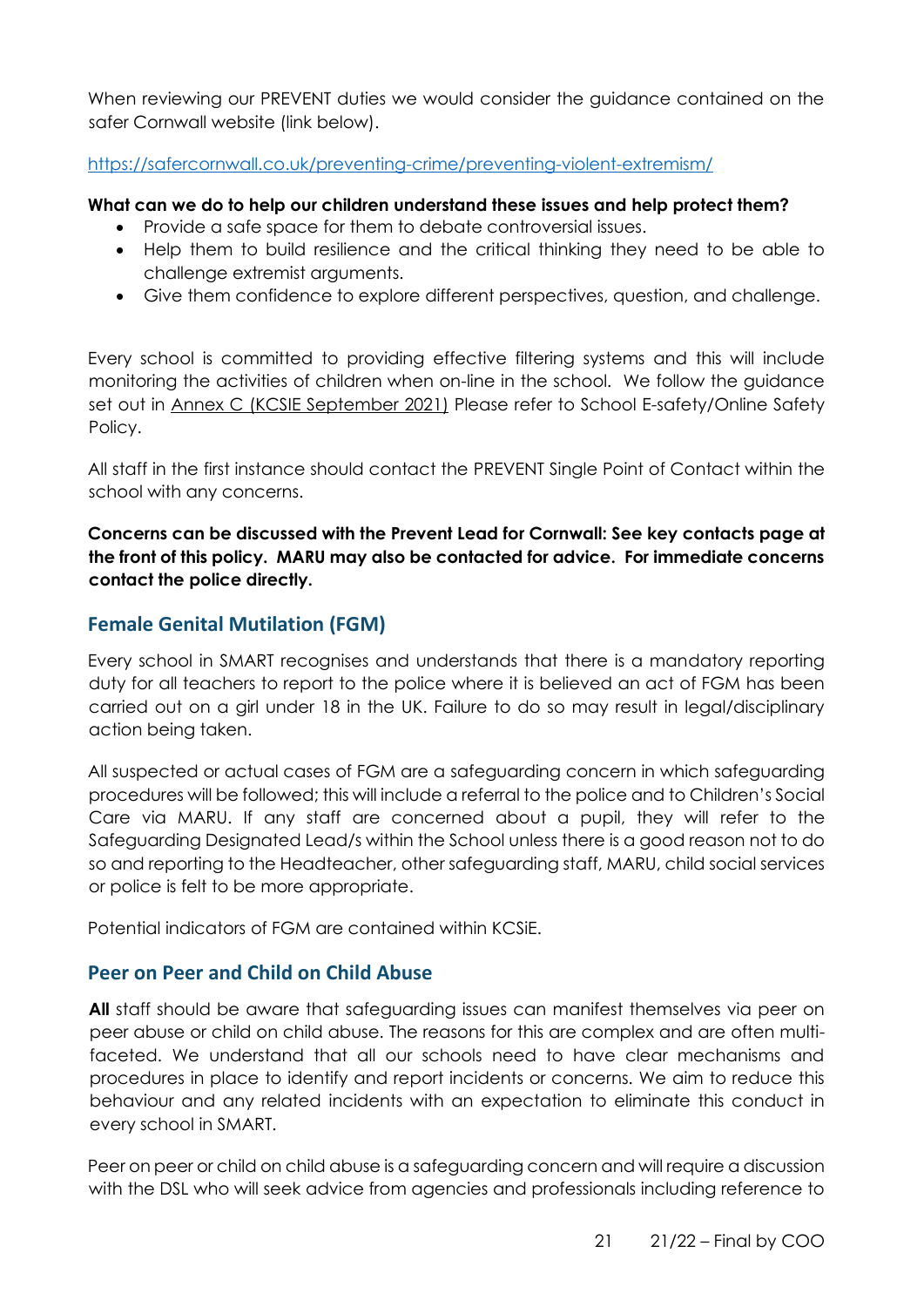When reviewing our PREVENT duties we would consider the guidance contained on the safer Cornwall website (link below).

<https://safercornwall.co.uk/preventing-crime/preventing-violent-extremism/>

#### **What can we do to help our children understand these issues and help protect them?**

- Provide a safe space for them to debate controversial issues.
- Help them to build resilience and the critical thinking they need to be able to challenge extremist arguments.
- Give them confidence to explore different perspectives, question, and challenge.

Every school is committed to providing effective filtering systems and this will include monitoring the activities of children when on-line in the school. We follow the guidance set out in [Annex C \(KCSIE September 2021\)](https://assets.publishing.service.gov.uk/government/uploads/system/uploads/attachment_data/file/999348/Keeping_children_safe_in_education_2021.pdf) Please refer to School E-safety/Online Safety Policy.

All staff in the first instance should contact the PREVENT Single Point of Contact within the school with any concerns.

**Concerns can be discussed with the Prevent Lead for Cornwall: See key contacts page at the front of this policy. MARU may also be contacted for advice. For immediate concerns contact the police directly.**

#### <span id="page-20-0"></span>**Female Genital Mutilation (FGM)**

Every school in SMART recognises and understands that there is a mandatory reporting duty for all teachers to report to the police where it is believed an act of FGM has been carried out on a girl under 18 in the UK. Failure to do so may result in legal/disciplinary action being taken.

All suspected or actual cases of FGM are a safeguarding concern in which safeguarding procedures will be followed; this will include a referral to the police and to Children's Social Care via MARU. If any staff are concerned about a pupil, they will refer to the Safeguarding Designated Lead/s within the School unless there is a good reason not to do so and reporting to the Headteacher, other safeguarding staff, MARU, child social services or police is felt to be more appropriate.

Potential indicators of FGM are contained within KCSiE.

#### <span id="page-20-1"></span>**Peer on Peer and Child on Child Abuse**

**All** staff should be aware that safeguarding issues can manifest themselves via peer on peer abuse or child on child abuse. The reasons for this are complex and are often multifaceted. We understand that all our schools need to have clear mechanisms and procedures in place to identify and report incidents or concerns. We aim to reduce this behaviour and any related incidents with an expectation to eliminate this conduct in every school in SMART.

Peer on peer or child on child abuse is a safeguarding concern and will require a discussion with the DSL who will seek advice from agencies and professionals including reference to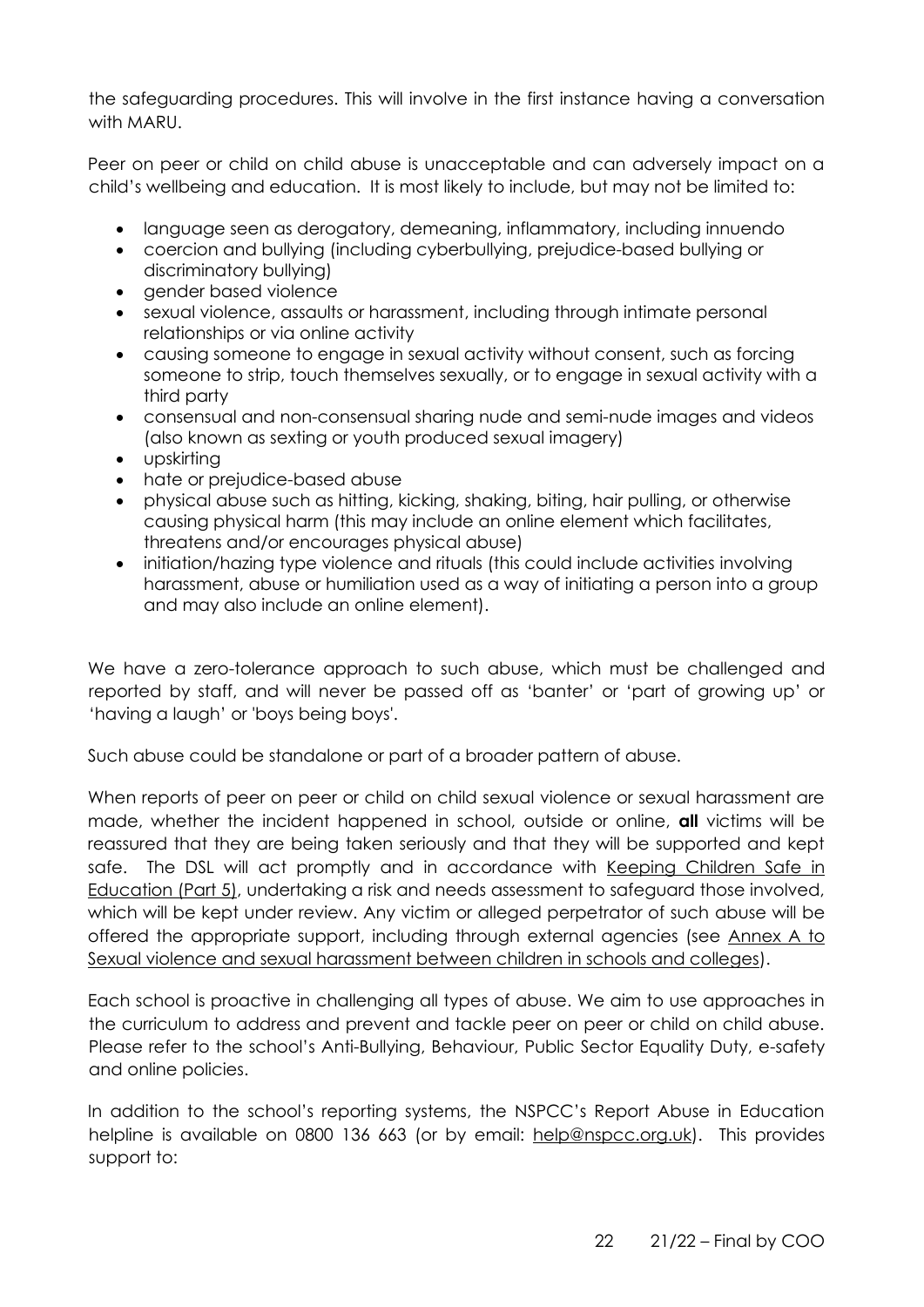the safeguarding procedures. This will involve in the first instance having a conversation with MARU.

Peer on peer or child on child abuse is unacceptable and can adversely impact on a child's wellbeing and education. It is most likely to include, but may not be limited to:

- language seen as derogatory, demeaning, inflammatory, including innuendo
- coercion and bullying (including cyberbullying, prejudice-based bullying or discriminatory bullying)
- gender based violence
- sexual violence, assaults or harassment, including through intimate personal relationships or via online activity
- causing someone to engage in sexual activity without consent, such as forcing someone to strip, touch themselves sexually, or to engage in sexual activity with a third party
- consensual and non-consensual sharing nude and semi-nude images and videos (also known as sexting or youth produced sexual imagery)
- upskirting
- hate or prejudice-based abuse
- physical abuse such as hitting, kicking, shaking, biting, hair pulling, or otherwise causing physical harm (this may include an online element which facilitates, threatens and/or encourages physical abuse)
- initiation/hazing type violence and rituals (this could include activities involving harassment, abuse or humiliation used as a way of initiating a person into a group and may also include an online element).

We have a zero-tolerance approach to such abuse, which must be challenged and reported by staff, and will never be passed off as 'banter' or 'part of growing up' or 'having a laugh' or 'boys being boys'.

Such abuse could be standalone or part of a broader pattern of abuse.

When reports of peer on peer or child on child sexual violence or sexual harassment are made, whether the incident happened in school, outside or online, **all** victims will be reassured that they are being taken seriously and that they will be supported and kept safe. The DSL will act promptly and in accordance with [Keeping Children Safe in](https://assets.publishing.service.gov.uk/government/uploads/system/uploads/attachment_data/file/999348/Keeping_children_safe_in_education_2021.pdf)  [Education \(Part 5\),](https://assets.publishing.service.gov.uk/government/uploads/system/uploads/attachment_data/file/999348/Keeping_children_safe_in_education_2021.pdf) undertaking a risk and needs assessment to safeguard those involved, which will be kept under review. Any victim or alleged perpetrator of such abuse will be offered the appropriate support, including through external agencies (see [Annex A to](https://www.gov.uk/government/publications/sexual-violence-and-sexual-harassment-between-children-in-schools-and-colleges)  Sexual violence and [sexual harassment between children in schools and colleges\)](https://www.gov.uk/government/publications/sexual-violence-and-sexual-harassment-between-children-in-schools-and-colleges).

Each school is proactive in challenging all types of abuse. We aim to use approaches in the curriculum to address and prevent and tackle peer on peer or child on child abuse. Please refer to the school's Anti-Bullying, Behaviour, Public Sector Equality Duty, e-safety and online policies.

In addition to the school's reporting systems, the NSPCC's Report Abuse in Education helpline is available on 0800 136 663 (or by email: [help@nspcc.org.uk\)](mailto:help@nspcc.org.uk). This provides support to: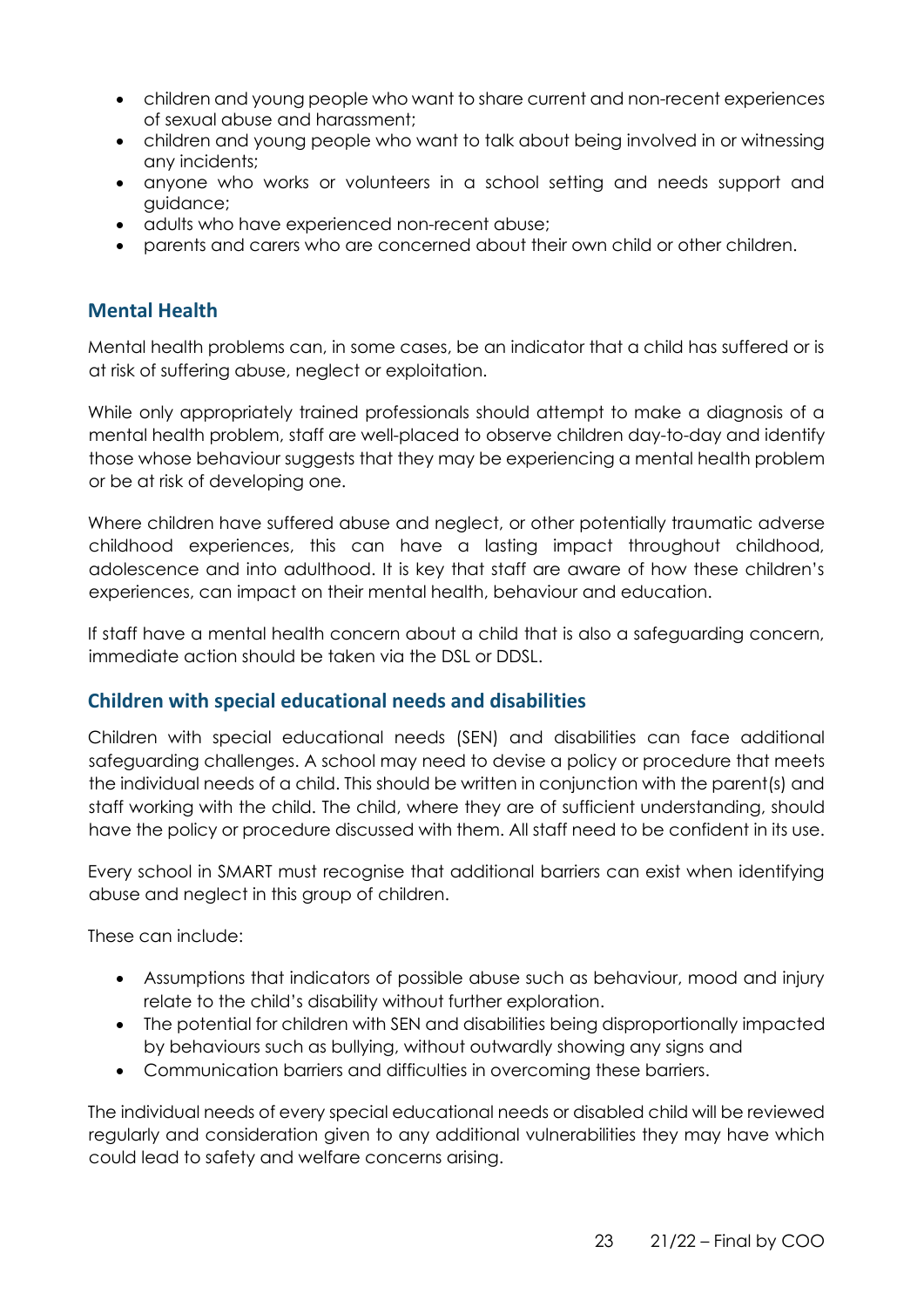- children and young people who want to share current and non-recent experiences of sexual abuse and harassment;
- children and young people who want to talk about being involved in or witnessing any incidents;
- anyone who works or volunteers in a school setting and needs support and guidance;
- adults who have experienced non-recent abuse;
- parents and carers who are concerned about their own child or other children.

#### <span id="page-22-0"></span>**Mental Health**

Mental health problems can, in some cases, be an indicator that a child has suffered or is at risk of suffering abuse, neglect or exploitation.

While only appropriately trained professionals should attempt to make a diagnosis of a mental health problem, staff are well-placed to observe children day-to-day and identify those whose behaviour suggests that they may be experiencing a mental health problem or be at risk of developing one.

Where children have suffered abuse and neglect, or other potentially traumatic adverse childhood experiences, this can have a lasting impact throughout childhood, adolescence and into adulthood. It is key that staff are aware of how these children's experiences, can impact on their mental health, behaviour and education.

If staff have a mental health concern about a child that is also a safeguarding concern, immediate action should be taken via the DSL or DDSL.

#### <span id="page-22-1"></span>**Children with special educational needs and disabilities**

Children with special educational needs (SEN) and disabilities can face additional safeguarding challenges. A school may need to devise a policy or procedure that meets the individual needs of a child. This should be written in conjunction with the parent(s) and staff working with the child. The child, where they are of sufficient understanding, should have the policy or procedure discussed with them. All staff need to be confident in its use.

Every school in SMART must recognise that additional barriers can exist when identifying abuse and neglect in this group of children.

These can include:

- Assumptions that indicators of possible abuse such as behaviour, mood and injury relate to the child's disability without further exploration.
- The potential for children with SEN and disabilities being disproportionally impacted by behaviours such as bullying, without outwardly showing any signs and
- Communication barriers and difficulties in overcoming these barriers.

The individual needs of every special educational needs or disabled child will be reviewed regularly and consideration given to any additional vulnerabilities they may have which could lead to safety and welfare concerns arising.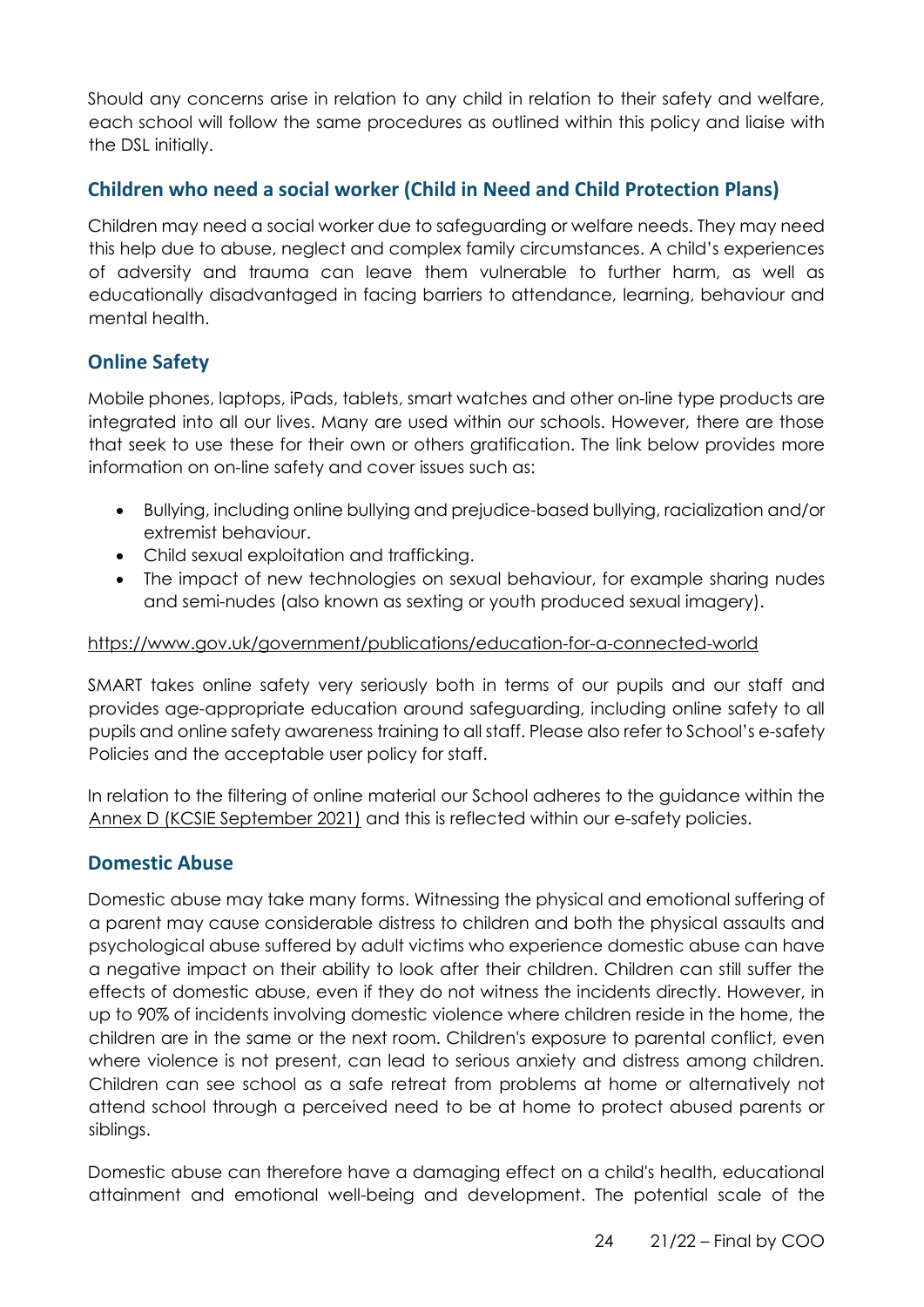Should any concerns arise in relation to any child in relation to their safety and welfare, each school will follow the same procedures as outlined within this policy and liaise with the DSL initially.

#### <span id="page-23-0"></span>**Children who need a social worker (Child in Need and Child Protection Plans)**

Children may need a social worker due to safeguarding or welfare needs. They may need this help due to abuse, neglect and complex family circumstances. A child's experiences of adversity and trauma can leave them vulnerable to further harm, as well as educationally disadvantaged in facing barriers to attendance, learning, behaviour and mental health.

#### <span id="page-23-1"></span>**Online Safety**

Mobile phones, laptops, iPads, tablets, smart watches and other on-line type products are integrated into all our lives. Many are used within our schools. However, there are those that seek to use these for their own or others gratification. The link below provides more information on on-line safety and cover issues such as:

- Bullying, including online bullying and prejudice-based bullying, racialization and/or extremist behaviour.
- Child sexual exploitation and trafficking.
- The impact of new technologies on sexual behaviour, for example sharing nudes and semi-nudes (also known as sexting or youth produced sexual imagery).

#### <https://www.gov.uk/government/publications/education-for-a-connected-world>

SMART takes online safety very seriously both in terms of our pupils and our staff and provides age-appropriate education around safeguarding, including online safety to all pupils and online safety awareness training to all staff. Please also refer to School's e-safety Policies and the acceptable user policy for staff.

In relation to the filtering of online material our School adheres to the guidance within the Annex D [\(KCSIE September 2021\)](https://assets.publishing.service.gov.uk/government/uploads/system/uploads/attachment_data/file/999348/Keeping_children_safe_in_education_2021.pdf) and this is reflected within our e-safety policies.

#### <span id="page-23-2"></span>**Domestic Abuse**

Domestic abuse may take many forms. Witnessing the physical and emotional suffering of a parent may cause considerable distress to children and both the physical assaults and psychological abuse suffered by adult victims who experience domestic abuse can have a negative impact on their ability to look after their children. Children can still suffer the effects of domestic abuse, even if they do not witness the incidents directly. However, in up to 90% of incidents involving domestic violence where children reside in the home, the children are in the same or the next room. Children's exposure to parental conflict, even where violence is not present, can lead to serious anxiety and distress among children. Children can see school as a safe retreat from problems at home or alternatively not attend school through a perceived need to be at home to protect abused parents or siblings.

Domestic abuse can therefore have a damaging effect on a child's health, educational attainment and emotional well-being and development. The potential scale of the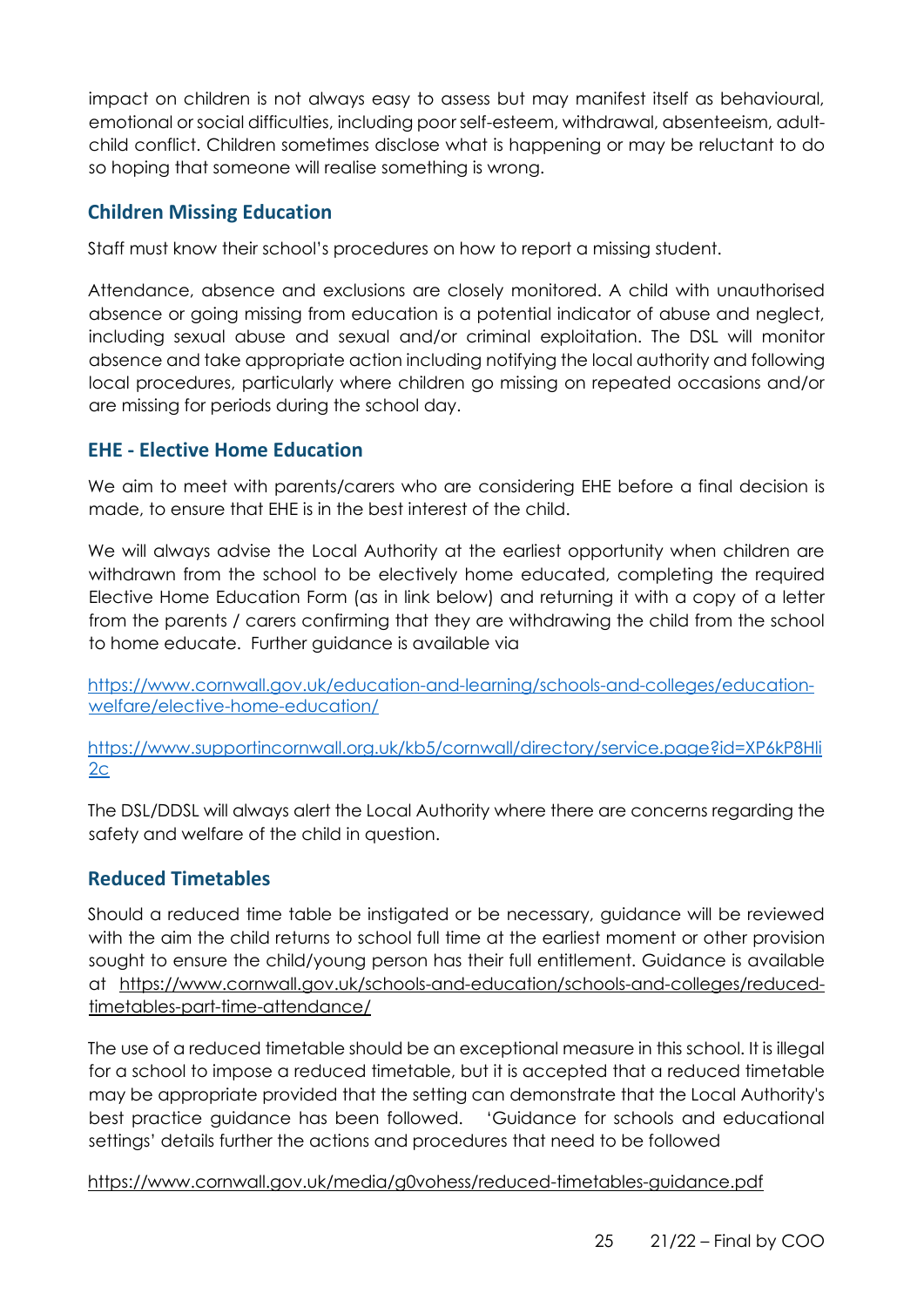impact on children is not always easy to assess but may manifest itself as behavioural, emotional or social difficulties, including poor self-esteem, withdrawal, absenteeism, adultchild conflict. Children sometimes disclose what is happening or may be reluctant to do so hoping that someone will realise something is wrong.

#### <span id="page-24-0"></span>**Children Missing Education**

Staff must know their school's procedures on how to report a missing student.

Attendance, absence and exclusions are closely monitored. A child with unauthorised absence or going missing from education is a potential indicator of abuse and neglect, including sexual abuse and sexual and/or criminal exploitation. The DSL will monitor absence and take appropriate action including notifying the local authority and following local procedures, particularly where children go missing on repeated occasions and/or are missing for periods during the school day.

#### <span id="page-24-1"></span>**EHE - Elective Home Education**

We aim to meet with parents/carers who are considering EHE before a final decision is made, to ensure that EHE is in the best interest of the child.

We will always advise the Local Authority at the earliest opportunity when children are withdrawn from the school to be electively home educated, completing the required Elective Home Education Form (as in link below) and returning it with a copy of a letter from the parents / carers confirming that they are withdrawing the child from the school to home educate. Further guidance is available via

[https://www.cornwall.gov.uk/education-and-learning/schools-and-colleges/education](https://www.cornwall.gov.uk/education-and-learning/schools-and-colleges/education-welfare/elective-home-education/)[welfare/elective-home-education/](https://www.cornwall.gov.uk/education-and-learning/schools-and-colleges/education-welfare/elective-home-education/)

[https://www.supportincornwall.org.uk/kb5/cornwall/directory/service.page?id=XP6kP8Hli](https://www.supportincornwall.org.uk/kb5/cornwall/directory/service.page?id=XP6kP8Hli2c) [2c](https://www.supportincornwall.org.uk/kb5/cornwall/directory/service.page?id=XP6kP8Hli2c)

The DSL/DDSL will always alert the Local Authority where there are concerns regarding the safety and welfare of the child in question.

#### <span id="page-24-2"></span>**Reduced Timetables**

Should a reduced time table be instigated or be necessary, guidance will be reviewed with the aim the child returns to school full time at the earliest moment or other provision sought to ensure the child/young person has their full entitlement. Guidance is available at [https://www.cornwall.gov.uk/schools-and-education/schools-and-colleges/reduced](https://www.cornwall.gov.uk/schools-and-education/schools-and-colleges/reduced-timetables-part-time-attendance/)[timetables-part-time-attendance/](https://www.cornwall.gov.uk/schools-and-education/schools-and-colleges/reduced-timetables-part-time-attendance/)

The use of a reduced timetable should be an exceptional measure in this school. It is illegal for a school to impose a reduced timetable, but it is accepted that a reduced timetable may be appropriate provided that the setting can demonstrate that the Local Authority's best practice guidance has been followed. 'Guidance for schools and educational settings' details further the actions and procedures that need to be followed

<https://www.cornwall.gov.uk/media/g0vohess/reduced-timetables-guidance.pdf>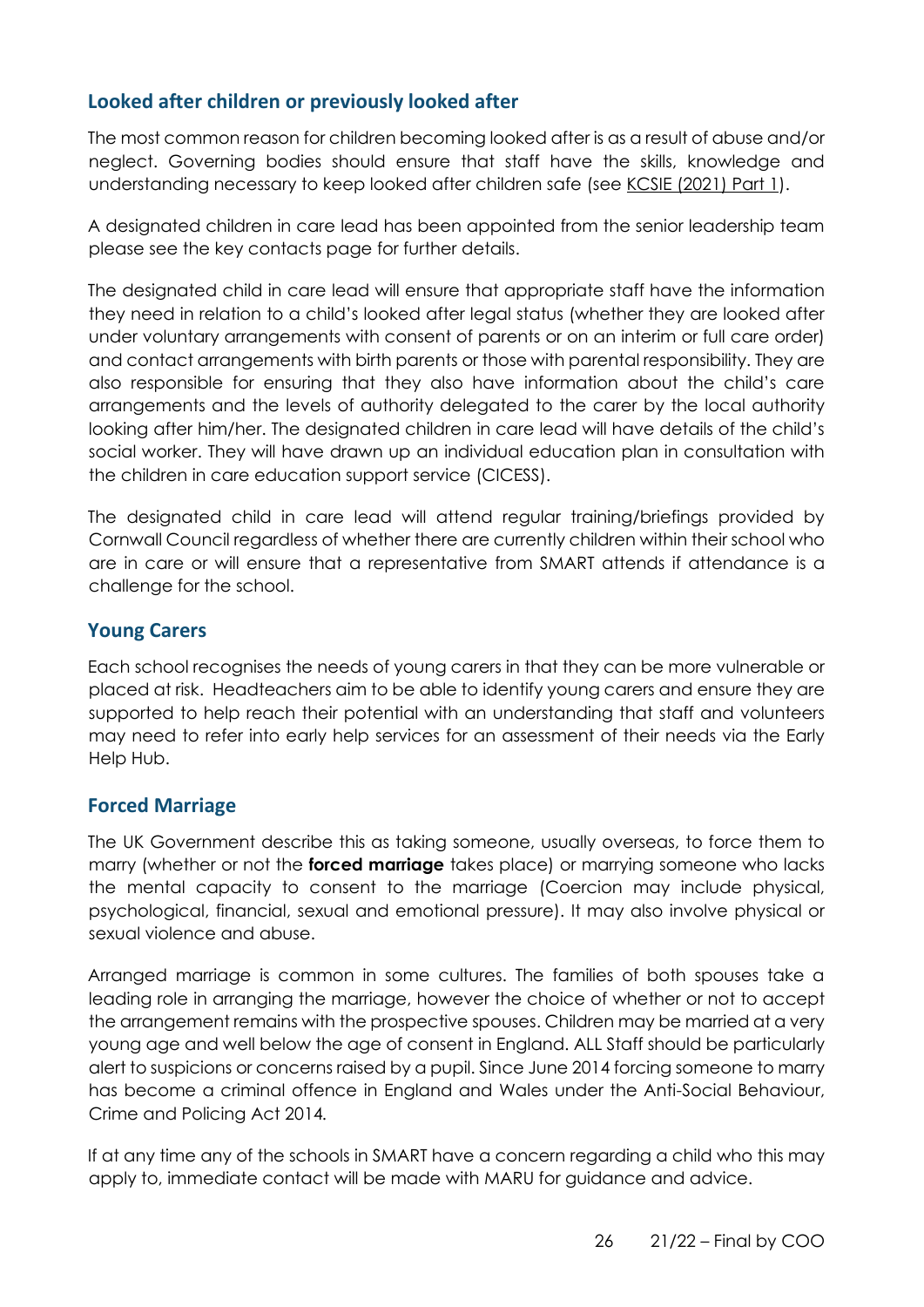#### <span id="page-25-0"></span>**Looked after children or previously looked after**

The most common reason for children becoming looked after is as a result of abuse and/or neglect. Governing bodies should ensure that staff have the skills, knowledge and understanding necessary to keep looked after children safe (see [KCSIE \(2021\) Part 1\)](https://assets.publishing.service.gov.uk/government/uploads/system/uploads/attachment_data/file/999348/Keeping_children_safe_in_education_2021.pdf).

A designated children in care lead has been appointed from the senior leadership team please see the key contacts page for further details.

The designated child in care lead will ensure that appropriate staff have the information they need in relation to a child's looked after legal status (whether they are looked after under voluntary arrangements with consent of parents or on an interim or full care order) and contact arrangements with birth parents or those with parental responsibility. They are also responsible for ensuring that they also have information about the child's care arrangements and the levels of authority delegated to the carer by the local authority looking after him/her. The designated children in care lead will have details of the child's social worker. They will have drawn up an individual education plan in consultation with the children in care education support service (CICESS).

The designated child in care lead will attend regular training/briefings provided by Cornwall Council regardless of whether there are currently children within their school who are in care or will ensure that a representative from SMART attends if attendance is a challenge for the school.

#### <span id="page-25-1"></span>**Young Carers**

Each school recognises the needs of young carers in that they can be more vulnerable or placed at risk. Headteachers aim to be able to identify young carers and ensure they are supported to help reach their potential with an understanding that staff and volunteers may need to refer into early help services for an assessment of their needs via the Early Help Hub.

#### <span id="page-25-2"></span>**Forced Marriage**

The UK Government describe this as taking someone, usually overseas, to force them to marry (whether or not the **forced marriage** takes place) or marrying someone who lacks the mental capacity to consent to the marriage (Coercion may include physical, psychological, financial, sexual and emotional pressure). It may also involve physical or sexual violence and abuse.

Arranged marriage is common in some cultures. The families of both spouses take a leading role in arranging the marriage, however the choice of whether or not to accept the arrangement remains with the prospective spouses. Children may be married at a very young age and well below the age of consent in England. ALL Staff should be particularly alert to suspicions or concerns raised by a pupil. Since June 2014 forcing someone to marry has become a criminal offence in England and Wales under the Anti-Social Behaviour, Crime and Policing Act 2014*.* 

If at any time any of the schools in SMART have a concern regarding a child who this may apply to, immediate contact will be made with MARU for guidance and advice.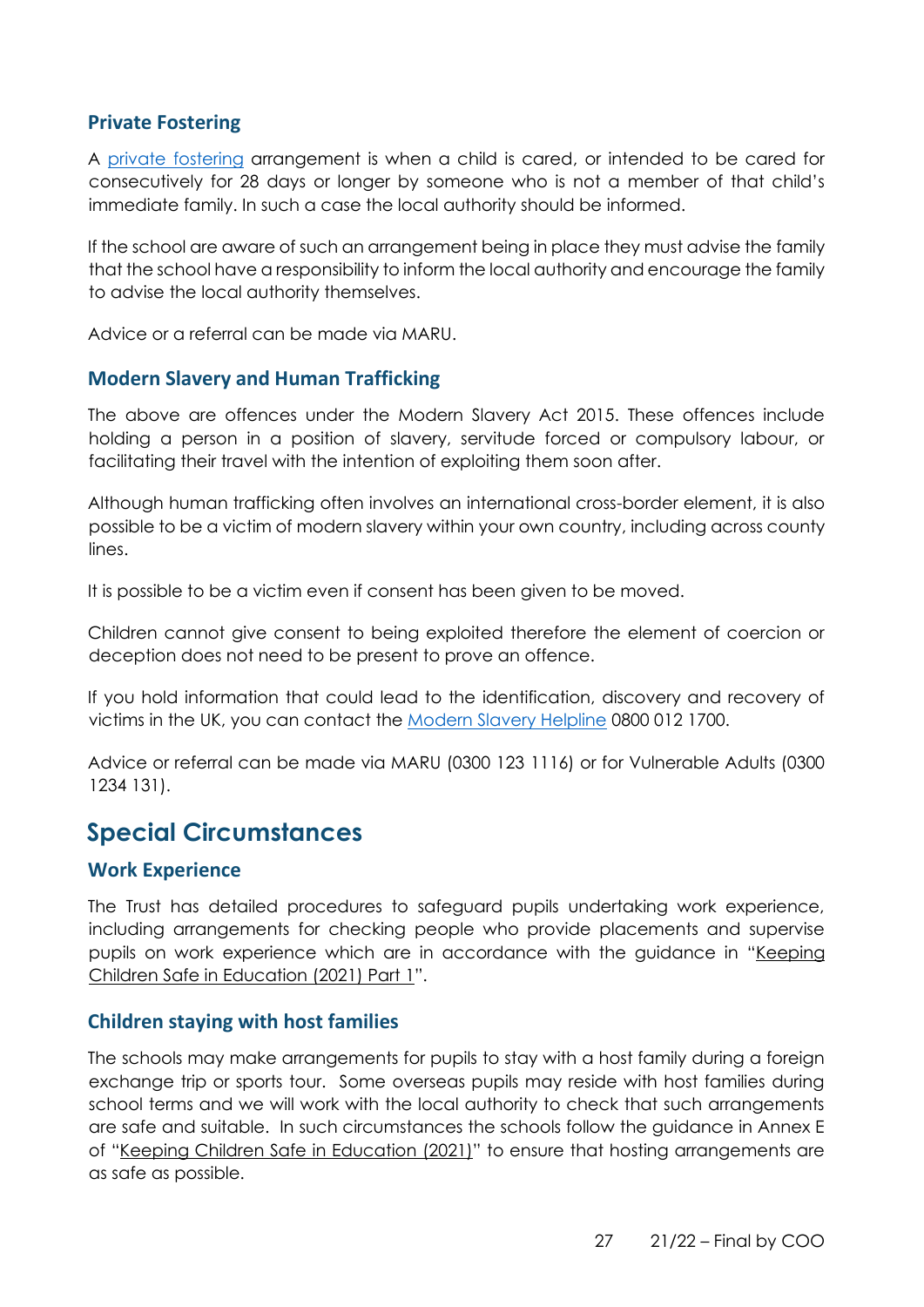#### <span id="page-26-0"></span>**Private Fostering**

A [private fostering](https://safeguarding.network/safeguarding-resources/children-care-others/private-fostering/) arrangement is when a child is cared, or intended to be cared for consecutively for 28 days or longer by someone who is not a member of that child's immediate family. In such a case the local authority should be informed.

If the school are aware of such an arrangement being in place they must advise the family that the school have a responsibility to inform the local authority and encourage the family to advise the local authority themselves.

Advice or a referral can be made via MARU.

#### <span id="page-26-1"></span>**Modern Slavery and Human Trafficking**

The above are offences under the Modern Slavery Act 2015. These offences include holding a person in a position of slavery, servitude forced or compulsory labour, or facilitating their travel with the intention of exploiting them soon after.

Although human trafficking often involves an international cross-border element, it is also possible to be a victim of modern slavery within your own country, including across county lines.

It is possible to be a victim even if consent has been given to be moved.

Children cannot give consent to being exploited therefore the element of coercion or deception does not need to be present to prove an offence.

If you hold information that could lead to the identification, discovery and recovery of victims in the UK, you can contact the [Modern Slavery Helpline](https://www.modernslaveryhelpline.org/) 0800 012 1700.

Advice or referral can be made via MARU (0300 123 1116) or for Vulnerable Adults (0300 1234 131).

### <span id="page-26-2"></span>**Special Circumstances**

#### <span id="page-26-3"></span>**Work Experience**

The Trust has detailed procedures to safeguard pupils undertaking work experience, including arrangements for checking people who provide placements and supervise pupils on work experience which are in accordance with the guidance in "[Keeping](https://assets.publishing.service.gov.uk/government/uploads/system/uploads/attachment_data/file/999348/Keeping_children_safe_in_education_2021.pdf)  [Children Safe in Education \(2021\) Part 1](https://assets.publishing.service.gov.uk/government/uploads/system/uploads/attachment_data/file/999348/Keeping_children_safe_in_education_2021.pdf)".

#### <span id="page-26-4"></span>**Children staying with host families**

The schools may make arrangements for pupils to stay with a host family during a foreign exchange trip or sports tour. Some overseas pupils may reside with host families during school terms and we will work with the local authority to check that such arrangements are safe and suitable. In such circumstances the schools follow the guidance in Annex E of "[Keeping Children Safe in Education \(2021\)](https://assets.publishing.service.gov.uk/government/uploads/system/uploads/attachment_data/file/999348/Keeping_children_safe_in_education_2021.pdf)" to ensure that hosting arrangements are as safe as possible.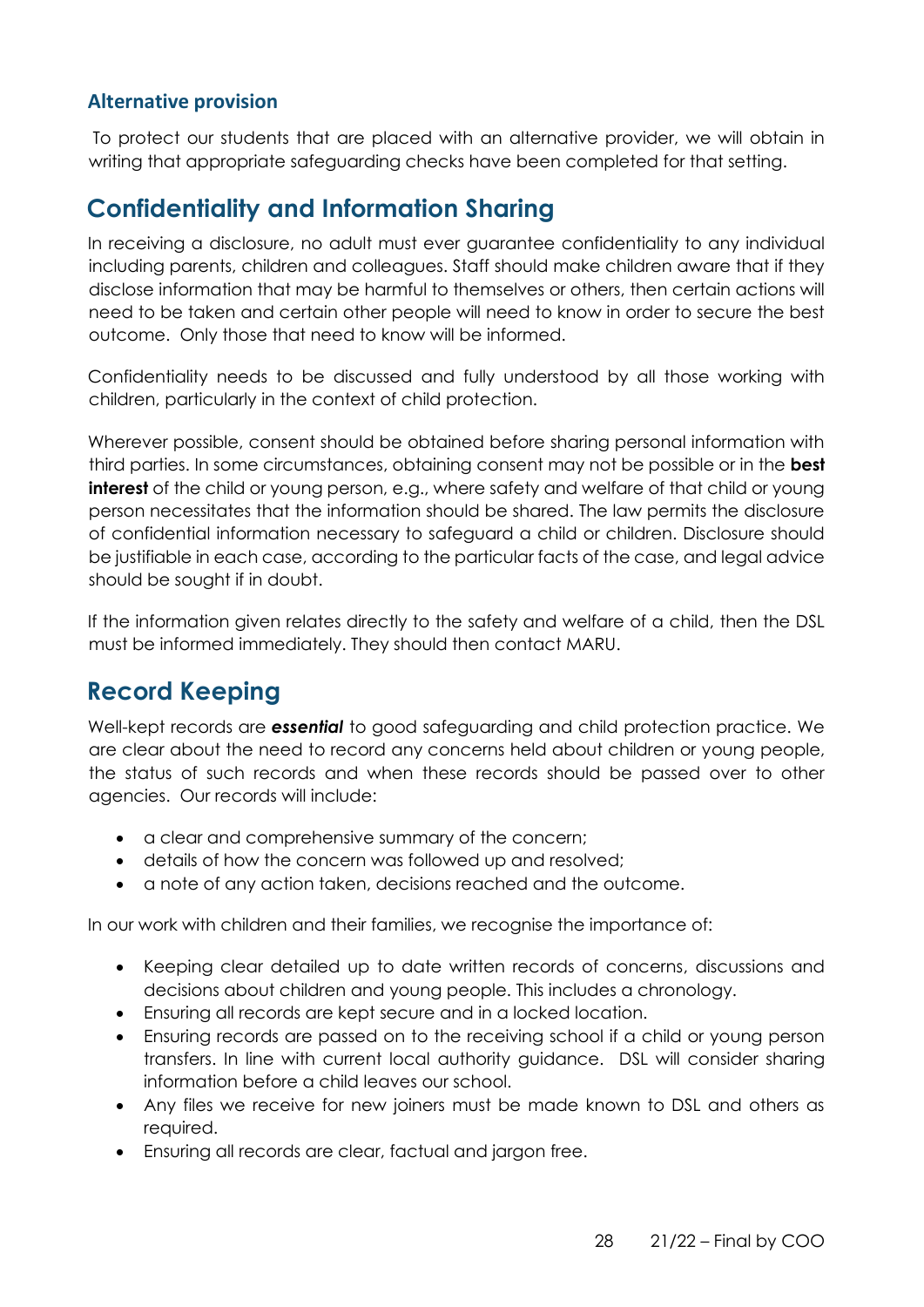#### <span id="page-27-0"></span>**Alternative provision**

To protect our students that are placed with an alternative provider, we will obtain in writing that appropriate safeguarding checks have been completed for that setting.

## <span id="page-27-1"></span>**Confidentiality and Information Sharing**

In receiving a disclosure, no adult must ever guarantee confidentiality to any individual including parents, children and colleagues. Staff should make children aware that if they disclose information that may be harmful to themselves or others, then certain actions will need to be taken and certain other people will need to know in order to secure the best outcome. Only those that need to know will be informed.

Confidentiality needs to be discussed and fully understood by all those working with children, particularly in the context of child protection.

Wherever possible, consent should be obtained before sharing personal information with third parties. In some circumstances, obtaining consent may not be possible or in the **best interest** of the child or young person, e.g., where safety and welfare of that child or young person necessitates that the information should be shared. The law permits the disclosure of confidential information necessary to safeguard a child or children. Disclosure should be justifiable in each case, according to the particular facts of the case, and legal advice should be sought if in doubt.

If the information given relates directly to the safety and welfare of a child, then the DSL must be informed immediately. They should then contact MARU.

## <span id="page-27-2"></span>**Record Keeping**

Well-kept records are *essential* to good safeguarding and child protection practice. We are clear about the need to record any concerns held about children or young people, the status of such records and when these records should be passed over to other agencies. Our records will include:

- a clear and comprehensive summary of the concern;
- details of how the concern was followed up and resolved;
- a note of any action taken, decisions reached and the outcome.

In our work with children and their families, we recognise the importance of:

- Keeping clear detailed up to date written records of concerns, discussions and decisions about children and young people. This includes a chronology.
- Ensuring all records are kept secure and in a locked location.
- Ensuring records are passed on to the receiving school if a child or young person transfers. In line with current local authority guidance. DSL will consider sharing information before a child leaves our school.
- Any files we receive for new joiners must be made known to DSL and others as required.
- Ensuring all records are clear, factual and jargon free.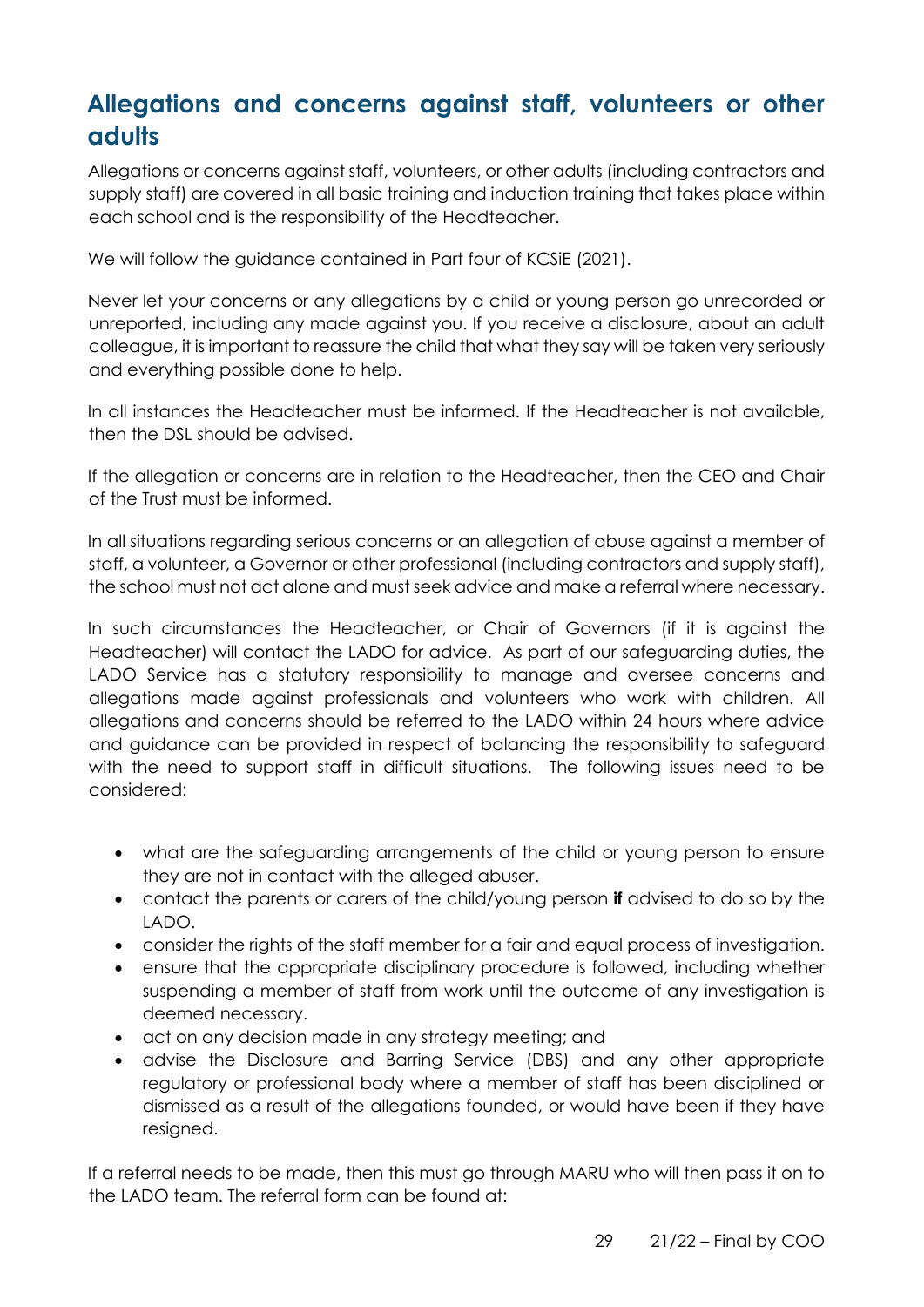## <span id="page-28-0"></span>**Allegations and concerns against staff, volunteers or other adults**

Allegations or concerns against staff, volunteers, or other adults (including contractors and supply staff) are covered in all basic training and induction training that takes place within each school and is the responsibility of the Headteacher.

We will follow the guidance contained in <u>Part four of KCSiE (2021)</u>.

Never let your concerns or any allegations by a child or young person go unrecorded or unreported, including any made against you. If you receive a disclosure, about an adult colleague, it is important to reassure the child that what they say will be taken very seriously and everything possible done to help.

In all instances the Headteacher must be informed. If the Headteacher is not available, then the DSL should be advised.

If the allegation or concerns are in relation to the Headteacher, then the CEO and Chair of the Trust must be informed.

In all situations regarding serious concerns or an allegation of abuse against a member of staff, a volunteer, a Governor or other professional (including contractors and supply staff), the school must not act alone and must seek advice and make a referral where necessary.

In such circumstances the Headteacher, or Chair of Governors (if it is against the Headteacher) will contact the LADO for advice. As part of our safeguarding duties, the LADO Service has a statutory responsibility to manage and oversee concerns and allegations made against professionals and volunteers who work with children. All allegations and concerns should be referred to the LADO within 24 hours where advice and guidance can be provided in respect of balancing the responsibility to safeguard with the need to support staff in difficult situations. The following issues need to be considered:

- what are the safeguarding arrangements of the child or young person to ensure they are not in contact with the alleged abuser.
- contact the parents or carers of the child/young person **if** advised to do so by the LADO.
- consider the rights of the staff member for a fair and equal process of investigation.
- ensure that the appropriate disciplinary procedure is followed, including whether suspending a member of staff from work until the outcome of any investigation is deemed necessary.
- act on any decision made in any strategy meeting; and
- advise the Disclosure and Barring Service (DBS) and any other appropriate regulatory or professional body where a member of staff has been disciplined or dismissed as a result of the allegations founded, or would have been if they have resigned.

If a referral needs to be made, then this must go through MARU who will then pass it on to the LADO team. The referral form can be found at: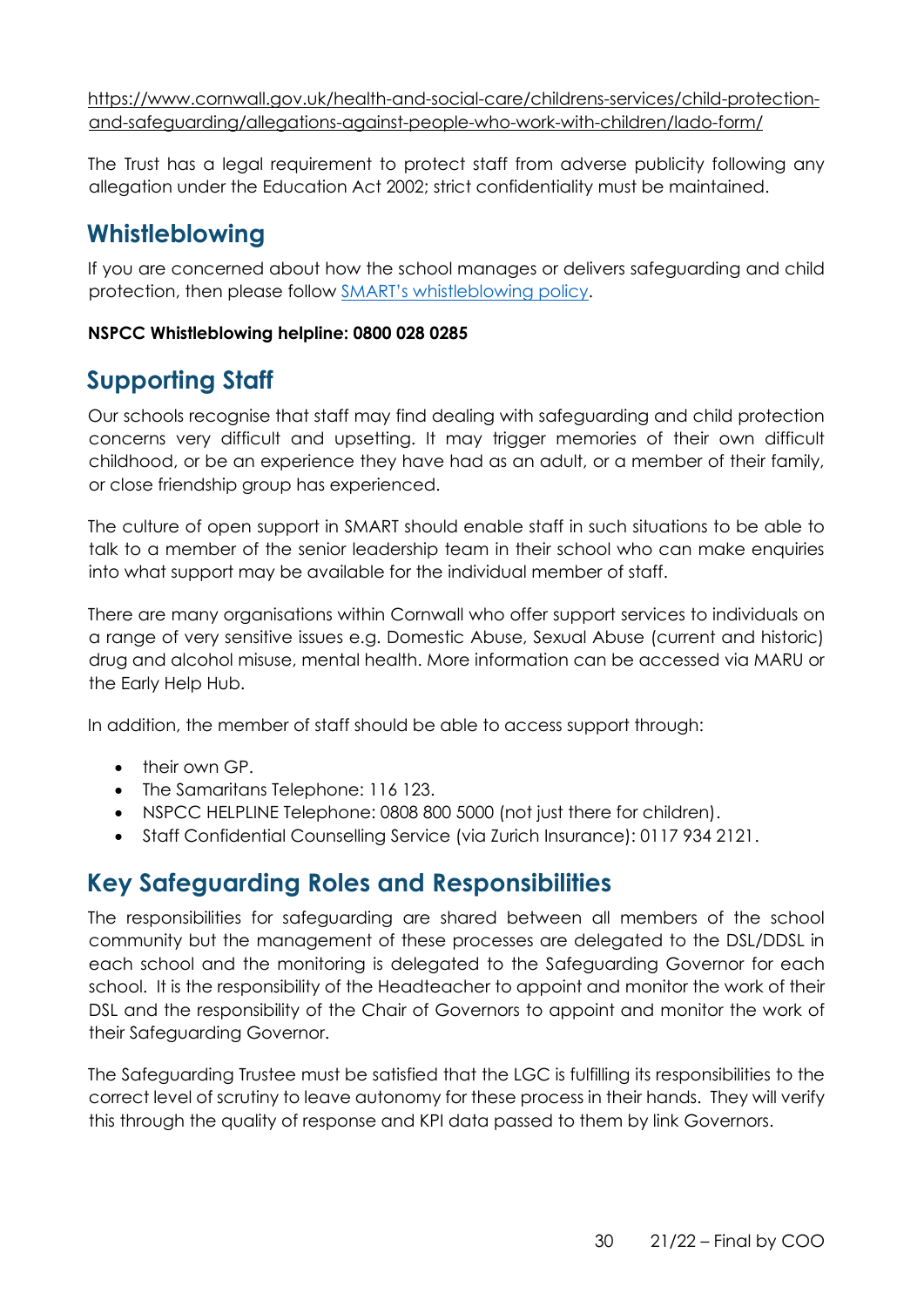[https://www.cornwall.gov.uk/health-and-social-care/childrens-services/child-protection](https://www.cornwall.gov.uk/health-and-social-care/childrens-services/child-protection-and-safeguarding/allegations-against-people-who-work-with-children/lado-form/)[and-safeguarding/allegations-against-people-who-work-with-children/lado-form/](https://www.cornwall.gov.uk/health-and-social-care/childrens-services/child-protection-and-safeguarding/allegations-against-people-who-work-with-children/lado-form/)

The Trust has a legal requirement to protect staff from adverse publicity following any allegation under the Education Act 2002; strict confidentiality must be maintained.

## <span id="page-29-0"></span>**Whistleblowing**

If you are concerned about how the school manages or delivers safeguarding and child protection, then please follow [SMART's whistleblowing policy](http://www.smart-trust.net/hr/).

#### **NSPCC Whistleblowing helpline: 0800 028 0285**

# <span id="page-29-1"></span>**Supporting Staff**

Our schools recognise that staff may find dealing with safeguarding and child protection concerns very difficult and upsetting. It may trigger memories of their own difficult childhood, or be an experience they have had as an adult, or a member of their family, or close friendship group has experienced.

The culture of open support in SMART should enable staff in such situations to be able to talk to a member of the senior leadership team in their school who can make enquiries into what support may be available for the individual member of staff.

There are many organisations within Cornwall who offer support services to individuals on a range of very sensitive issues e.g. Domestic Abuse, Sexual Abuse (current and historic) drug and alcohol misuse, mental health. More information can be accessed via MARU or the Early Help Hub.

In addition, the member of staff should be able to access support through:

- their own GP.
- The Samaritans Telephone: 116 123.
- NSPCC HELPLINE Telephone: 0808 800 5000 (not just there for children).
- Staff Confidential Counselling Service (via Zurich Insurance): 0117 934 2121.

## <span id="page-29-2"></span>**Key Safeguarding Roles and Responsibilities**

The responsibilities for safeguarding are shared between all members of the school community but the management of these processes are delegated to the DSL/DDSL in each school and the monitoring is delegated to the Safeguarding Governor for each school. It is the responsibility of the Headteacher to appoint and monitor the work of their DSL and the responsibility of the Chair of Governors to appoint and monitor the work of their Safeguarding Governor.

The Safeguarding Trustee must be satisfied that the LGC is fulfilling its responsibilities to the correct level of scrutiny to leave autonomy for these process in their hands. They will verify this through the quality of response and KPI data passed to them by link Governors.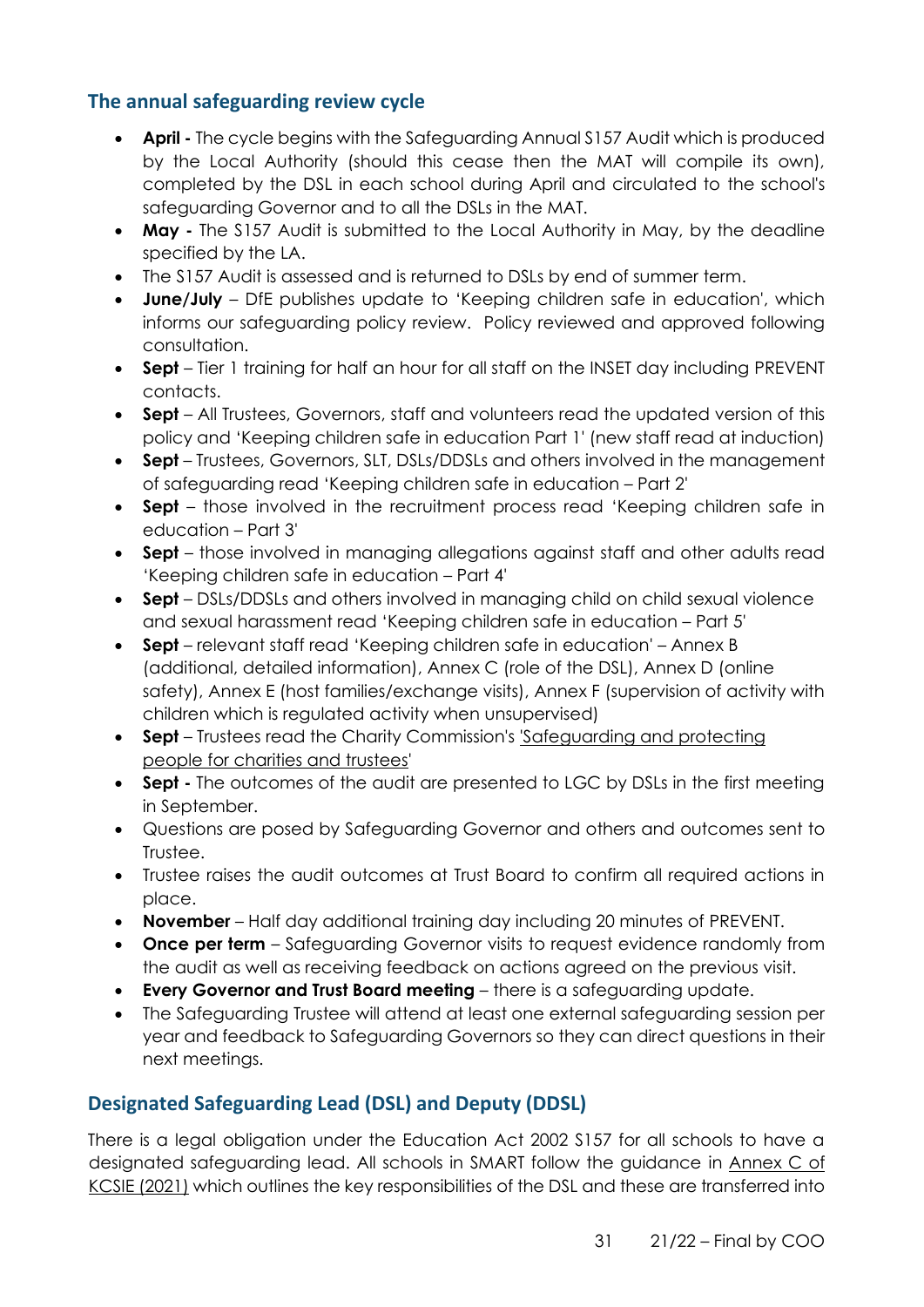#### <span id="page-30-0"></span>**The annual safeguarding review cycle**

- **April -** The cycle begins with the Safeguarding Annual S157 Audit which is produced by the Local Authority (should this cease then the MAT will compile its own), completed by the DSL in each school during April and circulated to the school's safeguarding Governor and to all the DSLs in the MAT.
- **May -** The S157 Audit is submitted to the Local Authority in May, by the deadline specified by the LA.
- The S157 Audit is assessed and is returned to DSLs by end of summer term.
- **June/July** DfE publishes update to 'Keeping children safe in education', which informs our safeguarding policy review. Policy reviewed and approved following consultation.
- **Sept** Tier 1 training for half an hour for all staff on the INSET day including PREVENT contacts.
- **Sept** All Trustees, Governors, staff and volunteers read the updated version of this policy and 'Keeping children safe in education Part 1' (new staff read at induction)
- **Sept** Trustees, Governors, SLT, DSLs/DDSLs and others involved in the management of safeguarding read 'Keeping children safe in education – Part 2'
- **Sept** those involved in the recruitment process read 'Keeping children safe in education – Part 3'
- **Sept** those involved in managing allegations against staff and other adults read 'Keeping children safe in education – Part 4'
- **Sept** DSLs/DDSLs and others involved in managing child on child sexual violence and sexual harassment read 'Keeping children safe in education – Part 5'
- **Sept** relevant staff read 'Keeping children safe in education' Annex B (additional, detailed information), Annex C (role of the DSL), Annex D (online safety), Annex E (host families/exchange visits), Annex F (supervision of activity with children which is regulated activity when unsupervised)
- **Sept** Trustees read the Charity Commission's 'Safeguarding and protecting [people for charities and trustees'](https://www.gov.uk/guidance/safeguarding-duties-for-charity-trustees)
- **Sept** The outcomes of the audit are presented to LGC by DSLs in the first meeting in September.
- Questions are posed by Safeguarding Governor and others and outcomes sent to Trustee.
- Trustee raises the audit outcomes at Trust Board to confirm all required actions in place.
- **November** Half day additional training day including 20 minutes of PREVENT.
- **Once per term** Safeguarding Governor visits to request evidence randomly from the audit as well as receiving feedback on actions agreed on the previous visit.
- **Every Governor and Trust Board meeting**  there is a safeguarding update.
- The Safeguarding Trustee will attend at least one external safeguarding session per year and feedback to Safeguarding Governors so they can direct questions in their next meetings.

#### <span id="page-30-1"></span>**Designated Safeguarding Lead (DSL) and Deputy (DDSL)**

There is a legal obligation under the Education Act 2002 S157 for all schools to have a designated safeguarding lead. All schools in SMART follow the guidance in [Annex C](https://assets.publishing.service.gov.uk/government/uploads/system/uploads/attachment_data/file/999348/Keeping_children_safe_in_education_2021.pdf) of [KCSIE \(2021\)](https://assets.publishing.service.gov.uk/government/uploads/system/uploads/attachment_data/file/999348/Keeping_children_safe_in_education_2021.pdf) which outlines the key responsibilities of the DSL and these are transferred into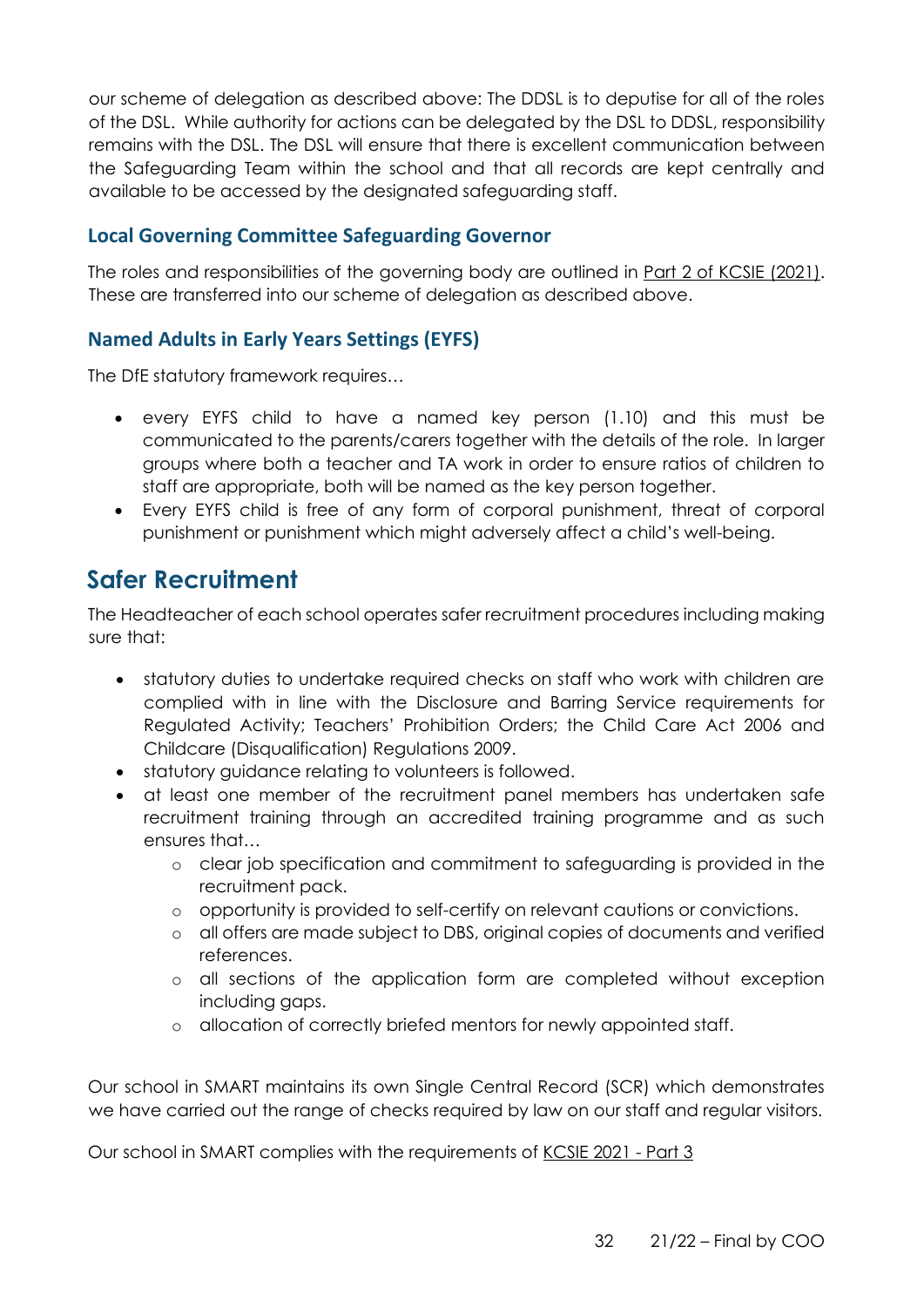our scheme of delegation as described above: The DDSL is to deputise for all of the roles of the DSL. While authority for actions can be delegated by the DSL to DDSL, responsibility remains with the DSL. The DSL will ensure that there is excellent communication between the Safeguarding Team within the school and that all records are kept centrally and available to be accessed by the designated safeguarding staff.

#### <span id="page-31-0"></span>**Local Governing Committee Safeguarding Governor**

The roles and responsibilities of the governing body are outlined in [Part 2 of KCSIE \(2021\).](https://assets.publishing.service.gov.uk/government/uploads/system/uploads/attachment_data/file/999348/Keeping_children_safe_in_education_2021.pdf) These are transferred into our scheme of delegation as described above.

#### <span id="page-31-1"></span>**Named Adults in Early Years Settings (EYFS)**

The DfE statutory framework requires…

- every EYFS child to have a named key person (1.10) and this must be communicated to the parents/carers together with the details of the role. In larger groups where both a teacher and TA work in order to ensure ratios of children to staff are appropriate, both will be named as the key person together.
- Every EYFS child is free of any form of corporal punishment, threat of corporal punishment or punishment which might adversely affect a child's well-being.

## <span id="page-31-2"></span>**Safer Recruitment**

The Headteacher of each school operates safer recruitment procedures including making sure that:

- statutory duties to undertake required checks on staff who work with children are complied with in line with the Disclosure and Barring Service requirements for Regulated Activity; Teachers' Prohibition Orders; the Child Care Act 2006 and Childcare (Disqualification) Regulations 2009.
- statutory guidance relating to volunteers is followed.
- at least one member of the recruitment panel members has undertaken safe recruitment training through an accredited training programme and as such ensures that…
	- o clear job specification and commitment to safeguarding is provided in the recruitment pack.
	- o opportunity is provided to self-certify on relevant cautions or convictions.
	- o all offers are made subject to DBS, original copies of documents and verified references.
	- o all sections of the application form are completed without exception including gaps.
	- o allocation of correctly briefed mentors for newly appointed staff.

Our school in SMART maintains its own Single Central Record (SCR) which demonstrates we have carried out the range of checks required by law on our staff and regular visitors.

Our school in SMART complies with the requirements of [KCSIE](https://assets.publishing.service.gov.uk/government/uploads/system/uploads/attachment_data/file/999348/Keeping_children_safe_in_education_2021.pdf) 2021 - Part 3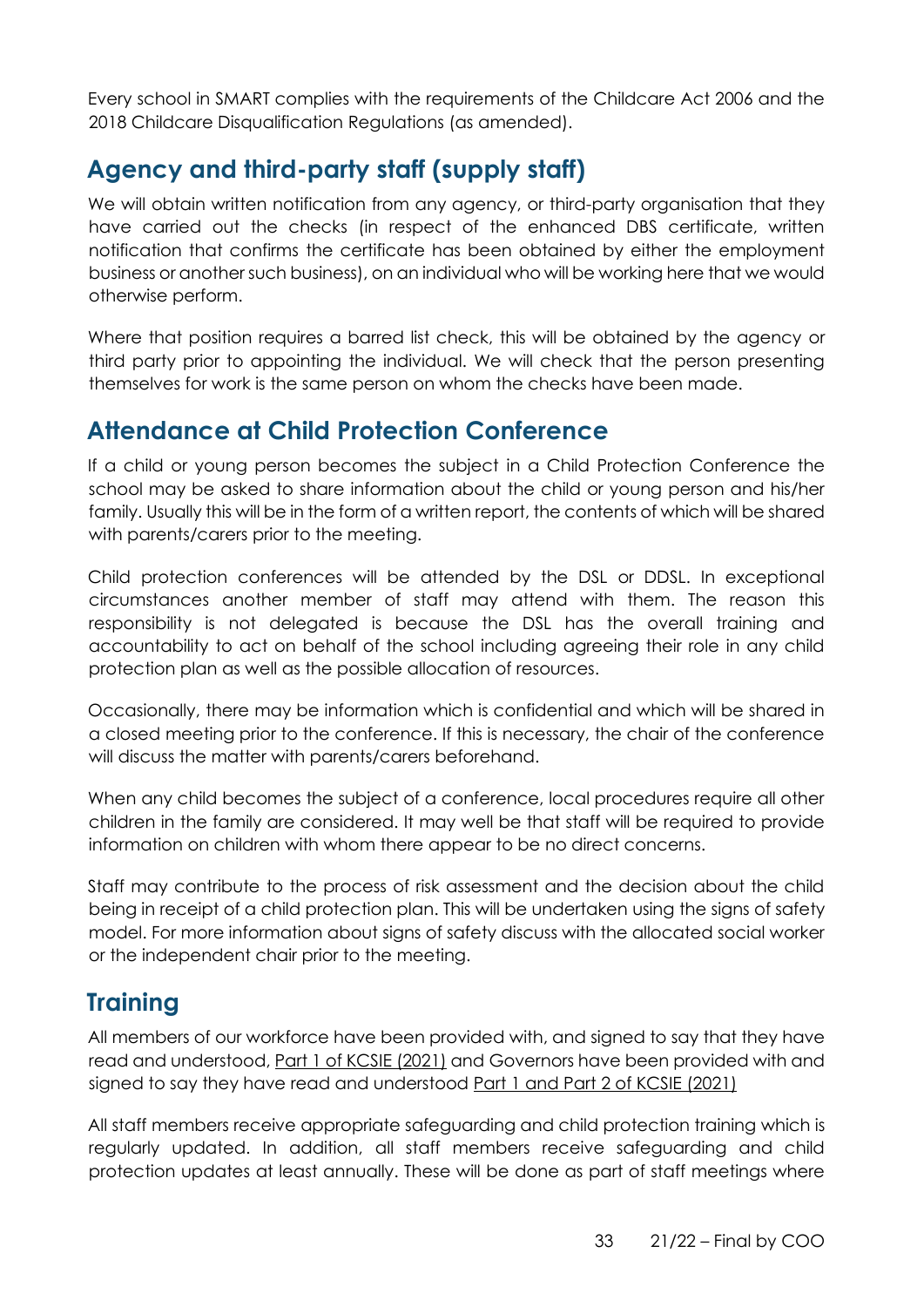Every school in SMART complies with the requirements of the Childcare Act 2006 and the 2018 Childcare Disqualification Regulations (as amended).

# <span id="page-32-0"></span>**Agency and third-party staff (supply staff)**

We will obtain written notification from any agency, or third-party organisation that they have carried out the checks (in respect of the enhanced DBS certificate, written notification that confirms the certificate has been obtained by either the employment business or another such business), on an individual who will be working here that we would otherwise perform.

Where that position requires a barred list check, this will be obtained by the agency or third party prior to appointing the individual. We will check that the person presenting themselves for work is the same person on whom the checks have been made.

## <span id="page-32-1"></span>**Attendance at Child Protection Conference**

If a child or young person becomes the subject in a Child Protection Conference the school may be asked to share information about the child or young person and his/her family. Usually this will be in the form of a written report, the contents of which will be shared with parents/carers prior to the meeting.

Child protection conferences will be attended by the DSL or DDSL. In exceptional circumstances another member of staff may attend with them. The reason this responsibility is not delegated is because the DSL has the overall training and accountability to act on behalf of the school including agreeing their role in any child protection plan as well as the possible allocation of resources.

Occasionally, there may be information which is confidential and which will be shared in a closed meeting prior to the conference. If this is necessary, the chair of the conference will discuss the matter with parents/carers beforehand.

When any child becomes the subject of a conference, local procedures require all other children in the family are considered. It may well be that staff will be required to provide information on children with whom there appear to be no direct concerns.

Staff may contribute to the process of risk assessment and the decision about the child being in receipt of a child protection plan. This will be undertaken using the signs of safety model. For more information about signs of safety discuss with the allocated social worker or the independent chair prior to the meeting.

## <span id="page-32-2"></span>**Training**

All members of our workforce have been provided with, and signed to say that they have read and understood, [Part 1 of KCSIE](https://assets.publishing.service.gov.uk/government/uploads/system/uploads/attachment_data/file/999348/Keeping_children_safe_in_education_2021.pdf) (2021) and Governors have been provided with and signed to say they have read and understood [Part 1 and Part 2 of KCSIE \(2021\)](https://assets.publishing.service.gov.uk/government/uploads/system/uploads/attachment_data/file/999348/Keeping_children_safe_in_education_2021.pdf)

All staff members receive appropriate safeguarding and child protection training which is regularly updated. In addition, all staff members receive safeguarding and child protection updates at least annually. These will be done as part of staff meetings where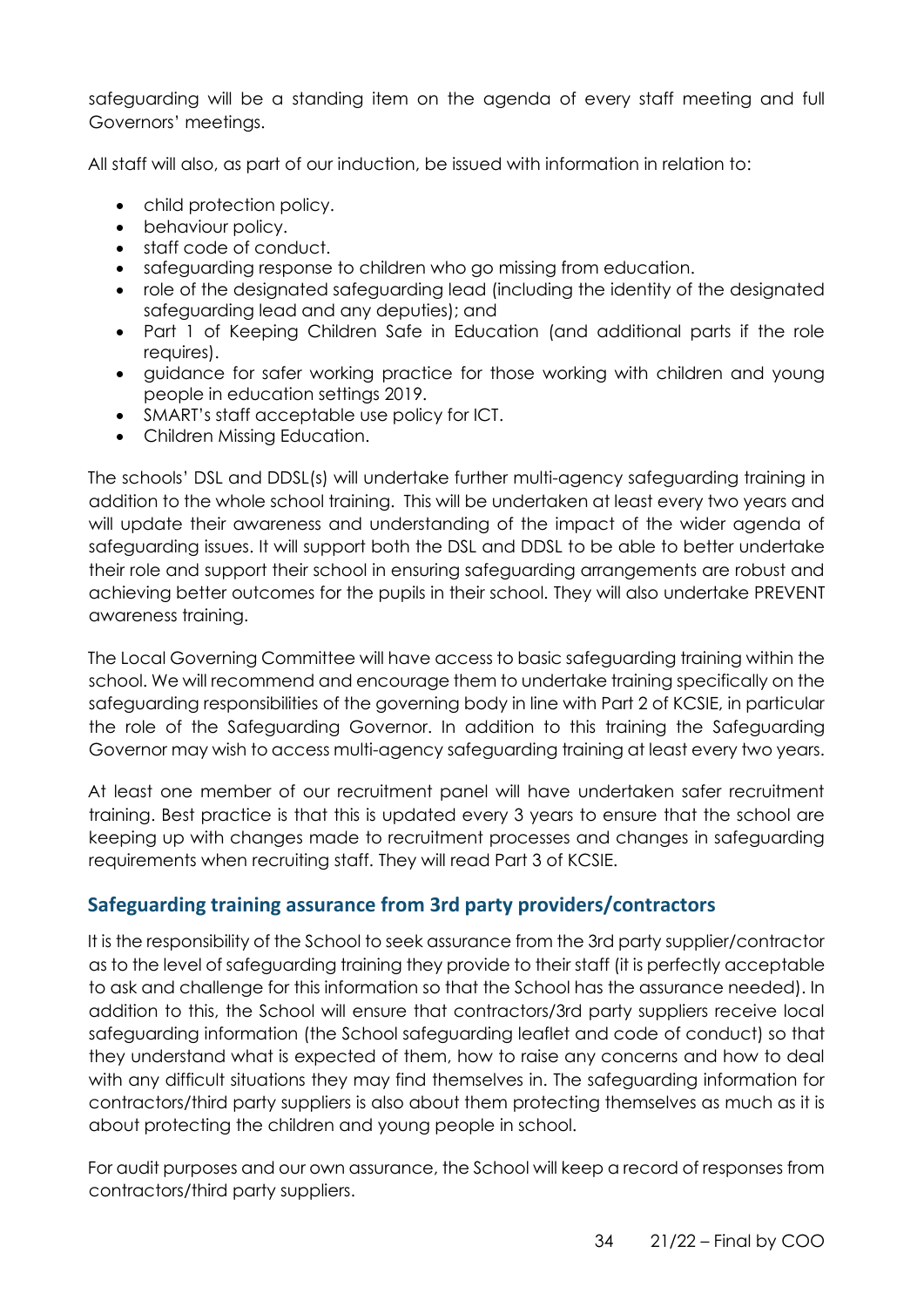safeguarding will be a standing item on the agenda of every staff meeting and full Governors' meetings.

All staff will also, as part of our induction, be issued with information in relation to:

- child protection policy.
- behaviour policy.
- staff code of conduct.
- safeguarding response to children who go missing from education.
- role of the designated safeguarding lead (including the identity of the designated safeguarding lead and any deputies); and
- Part 1 of Keeping Children Safe in Education (and additional parts if the role requires).
- guidance for safer working practice for those working with children and young people in education settings 2019.
- SMART's staff acceptable use policy for ICT.
- Children Missing Education.

The schools' DSL and DDSL(s) will undertake further multi-agency safeguarding training in addition to the whole school training. This will be undertaken at least every two years and will update their awareness and understanding of the impact of the wider agenda of safeguarding issues. It will support both the DSL and DDSL to be able to better undertake their role and support their school in ensuring safeguarding arrangements are robust and achieving better outcomes for the pupils in their school. They will also undertake PREVENT awareness training.

The Local Governing Committee will have access to basic safeguarding training within the school. We will recommend and encourage them to undertake training specifically on the safeguarding responsibilities of the governing body in line with Part 2 of KCSIE, in particular the role of the Safeguarding Governor. In addition to this training the Safeguarding Governor may wish to access multi-agency safeguarding training at least every two years.

At least one member of our recruitment panel will have undertaken safer recruitment training. Best practice is that this is updated every 3 years to ensure that the school are keeping up with changes made to recruitment processes and changes in safeguarding requirements when recruiting staff. They will read Part 3 of KCSIE.

#### <span id="page-33-0"></span>**Safeguarding training assurance from 3rd party providers/contractors**

It is the responsibility of the School to seek assurance from the 3rd party supplier/contractor as to the level of safeguarding training they provide to their staff (it is perfectly acceptable to ask and challenge for this information so that the School has the assurance needed). In addition to this, the School will ensure that contractors/3rd party suppliers receive local safeguarding information (the School safeguarding leaflet and code of conduct) so that they understand what is expected of them, how to raise any concerns and how to deal with any difficult situations they may find themselves in. The safeguarding information for contractors/third party suppliers is also about them protecting themselves as much as it is about protecting the children and young people in school.

For audit purposes and our own assurance, the School will keep a record of responses from contractors/third party suppliers.